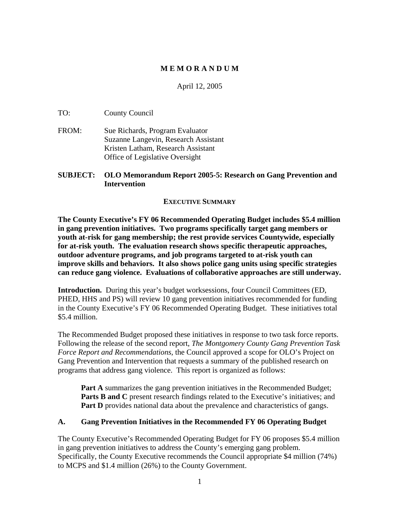### **M E M O R A N D U M**

#### April 12, 2005

TO: County Council

FROM: Sue Richards, Program Evaluator Suzanne Langevin, Research Assistant Kristen Latham, Research Assistant Office of Legislative Oversight

#### **SUBJECT: OLO Memorandum Report 2005-5: Research on Gang Prevention and Intervention**

#### **EXECUTIVE SUMMARY**

**The County Executive's FY 06 Recommended Operating Budget includes \$5.4 million in gang prevention initiatives. Two programs specifically target gang members or youth at-risk for gang membership; the rest provide services Countywide, especially for at-risk youth. The evaluation research shows specific therapeutic approaches, outdoor adventure programs, and job programs targeted to at-risk youth can improve skills and behaviors. It also shows police gang units using specific strategies can reduce gang violence. Evaluations of collaborative approaches are still underway.** 

**Introduction.** During this year's budget worksessions, four Council Committees (ED, PHED, HHS and PS) will review 10 gang prevention initiatives recommended for funding in the County Executive's FY 06 Recommended Operating Budget. These initiatives total \$5.4 million.

The Recommended Budget proposed these initiatives in response to two task force reports. Following the release of the second report, *The Montgomery County Gang Prevention Task Force Report and Recommendations*, the Council approved a scope for OLO's Project on Gang Prevention and Intervention that requests a summary of the published research on programs that address gang violence. This report is organized as follows:

**Part A** summarizes the gang prevention initiatives in the Recommended Budget; **Parts B and C** present research findings related to the Executive's initiatives; and **Part D** provides national data about the prevalence and characteristics of gangs.

#### **A. Gang Prevention Initiatives in the Recommended FY 06 Operating Budget**

The County Executive's Recommended Operating Budget for FY 06 proposes \$5.4 million in gang prevention initiatives to address the County's emerging gang problem. Specifically, the County Executive recommends the Council appropriate \$4 million (74%) to MCPS and \$1.4 million (26%) to the County Government.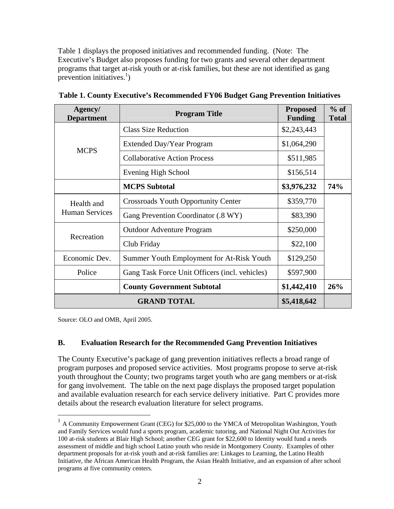Table 1 displays the proposed initiatives and recommended funding. (Note: The Executive's Budget also proposes funding for two grants and several other department programs that target at-risk youth or at-risk families, but these are not identified as gang prevention initiatives.<sup>1</sup>)

| Agency/<br><b>Department</b>                             | <b>Program Title</b>                       | <b>Proposed</b><br><b>Funding</b> | $%$ of<br><b>Total</b> |  |  |
|----------------------------------------------------------|--------------------------------------------|-----------------------------------|------------------------|--|--|
|                                                          | <b>Class Size Reduction</b>                | \$2,243,443                       |                        |  |  |
| <b>MCPS</b>                                              | Extended Day/Year Program                  | \$1,064,290                       |                        |  |  |
|                                                          | <b>Collaborative Action Process</b>        | \$511,985                         |                        |  |  |
|                                                          | Evening High School                        | \$156,514                         |                        |  |  |
|                                                          | <b>MCPS</b> Subtotal                       | \$3,976,232                       | 74%                    |  |  |
| Health and<br><b>Human Services</b>                      | <b>Crossroads Youth Opportunity Center</b> | \$359,770                         |                        |  |  |
|                                                          | Gang Prevention Coordinator (.8 WY)        | \$83,390                          |                        |  |  |
|                                                          | <b>Outdoor Adventure Program</b>           | \$250,000                         |                        |  |  |
| Recreation                                               | Club Friday                                | \$22,100                          |                        |  |  |
| Economic Dev.                                            | Summer Youth Employment for At-Risk Youth  |                                   |                        |  |  |
| Police<br>Gang Task Force Unit Officers (incl. vehicles) |                                            | \$597,900                         |                        |  |  |
|                                                          | \$1,442,410                                | 26%                               |                        |  |  |
| <b>GRAND TOTAL</b><br>\$5,418,642                        |                                            |                                   |                        |  |  |

**Table 1. County Executive's Recommended FY06 Budget Gang Prevention Initiatives** 

Source: OLO and OMB, April 2005.

 $\overline{a}$ 

#### **B. Evaluation Research for the Recommended Gang Prevention Initiatives**

The County Executive's package of gang prevention initiatives reflects a broad range of program purposes and proposed service activities. Most programs propose to serve at-risk youth throughout the County; two programs target youth who are gang members or at-risk for gang involvement. The table on the next page displays the proposed target population and available evaluation research for each service delivery initiative. Part C provides more details about the research evaluation literature for select programs.

 $1$  A Community Empowerment Grant (CEG) for \$25,000 to the YMCA of Metropolitan Washington, Youth and Family Services would fund a sports program, academic tutoring, and National Night Out Activities for 100 at-risk students at Blair High School; another CEG grant for \$22,600 to Identity would fund a needs assessment of middle and high school Latino youth who reside in Montgomery County. Examples of other department proposals for at-risk youth and at-risk families are: Linkages to Learning, the Latino Health Initiative, the African American Health Program, the Asian Health Initiative, and an expansion of after school programs at five community centers.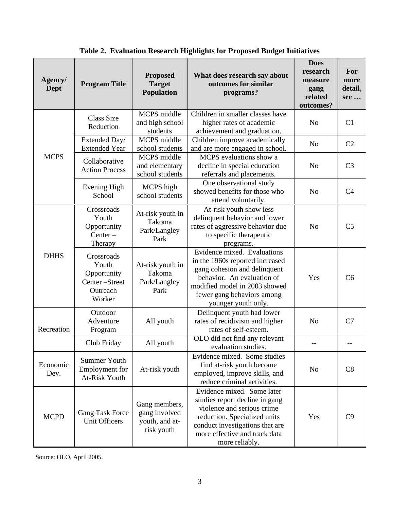| Agency/<br>Dept  | <b>Program Title</b>                                                      | <b>Proposed</b><br><b>Target</b><br><b>Population</b>          | What does research say about<br>outcomes for similar<br>programs?                                                                                                                                                  | <b>Does</b><br>research<br>measure<br>gang<br>related<br>outcomes? | For<br>more<br>detail,<br>see |
|------------------|---------------------------------------------------------------------------|----------------------------------------------------------------|--------------------------------------------------------------------------------------------------------------------------------------------------------------------------------------------------------------------|--------------------------------------------------------------------|-------------------------------|
|                  | <b>Class Size</b><br>Reduction                                            | MCPS middle<br>and high school<br>students                     | Children in smaller classes have<br>higher rates of academic<br>achievement and graduation.                                                                                                                        | N <sub>o</sub>                                                     | C1                            |
|                  | Extended Day/<br><b>Extended Year</b>                                     | MCPS middle<br>school students                                 | Children improve academically<br>and are more engaged in school.                                                                                                                                                   | N <sub>o</sub>                                                     | C <sub>2</sub>                |
| <b>MCPS</b>      | Collaborative<br><b>Action Process</b>                                    | MCPS middle<br>and elementary<br>school students               | MCPS evaluations show a<br>decline in special education<br>referrals and placements.                                                                                                                               | N <sub>o</sub>                                                     | C <sub>3</sub>                |
|                  | <b>Evening High</b><br>School                                             | MCPS high<br>school students                                   | One observational study<br>showed benefits for those who<br>attend voluntarily.                                                                                                                                    | N <sub>o</sub>                                                     | C <sub>4</sub>                |
| <b>DHHS</b>      | Crossroads<br>Youth<br>Opportunity<br>$Center -$<br>Therapy               | At-risk youth in<br>Takoma<br>Park/Langley<br>Park             | At-risk youth show less<br>delinquent behavior and lower<br>rates of aggressive behavior due<br>to specific therapeutic<br>programs.                                                                               | N <sub>o</sub>                                                     | C <sub>5</sub>                |
|                  | Crossroads<br>Youth<br>Opportunity<br>Center-Street<br>Outreach<br>Worker | At-risk youth in<br>Takoma<br>Park/Langley<br>Park             | Evidence mixed. Evaluations<br>in the 1960s reported increased<br>gang cohesion and delinquent<br>behavior. An evaluation of<br>modified model in 2003 showed<br>fewer gang behaviors among<br>younger youth only. | Yes                                                                | C6                            |
| Recreation       | Outdoor<br>Adventure<br>Program                                           | All youth                                                      | Delinquent youth had lower<br>rates of recidivism and higher<br>rates of self-esteem.                                                                                                                              | N <sub>o</sub>                                                     | C7                            |
|                  | Club Friday                                                               | All youth                                                      | OLO did not find any relevant<br>evaluation studies.                                                                                                                                                               | $-$                                                                |                               |
| Economic<br>Dev. | <b>Summer Youth</b><br>Employment for<br>At-Risk Youth                    | At-risk youth                                                  | Evidence mixed. Some studies<br>find at-risk youth become<br>employed, improve skills, and<br>reduce criminal activities.                                                                                          | N <sub>o</sub>                                                     | C8                            |
| <b>MCPD</b>      | <b>Gang Task Force</b><br><b>Unit Officers</b>                            | Gang members,<br>gang involved<br>youth, and at-<br>risk youth | Evidence mixed. Some later<br>studies report decline in gang<br>violence and serious crime<br>reduction. Specialized units<br>conduct investigations that are<br>more effective and track data<br>more reliably.   | Yes                                                                | C9                            |

**Table 2. Evaluation Research Highlights for Proposed Budget Initiatives** 

Source: OLO, April 2005.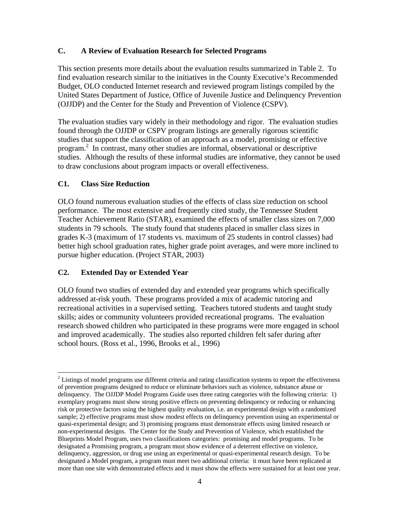#### **C. A Review of Evaluation Research for Selected Programs**

This section presents more details about the evaluation results summarized in Table 2. To find evaluation research similar to the initiatives in the County Executive's Recommended Budget, OLO conducted Internet research and reviewed program listings compiled by the United States Department of Justice, Office of Juvenile Justice and Delinquency Prevention (OJJDP) and the Center for the Study and Prevention of Violence (CSPV).

The evaluation studies vary widely in their methodology and rigor. The evaluation studies found through the OJJDP or CSPV program listings are generally rigorous scientific studies that support the classification of an approach as a model, promising or effective program. 2 In contrast, many other studies are informal, observational or descriptive studies. Although the results of these informal studies are informative, they cannot be used to draw conclusions about program impacts or overall effectiveness.

### **C1. Class Size Reduction**

 $\overline{a}$ 

OLO found numerous evaluation studies of the effects of class size reduction on school performance. The most extensive and frequently cited study, the Tennessee Student Teacher Achievement Ratio (STAR), examined the effects of smaller class sizes on 7,000 students in 79 schools. The study found that students placed in smaller class sizes in grades K-3 (maximum of 17 students vs. maximum of 25 students in control classes) had better high school graduation rates, higher grade point averages, and were more inclined to pursue higher education. (Project STAR, 2003)

# **C2. Extended Day or Extended Year**

OLO found two studies of extended day and extended year programs which specifically addressed at-risk youth. These programs provided a mix of academic tutoring and recreational activities in a supervised setting. Teachers tutored students and taught study skills; aides or community volunteers provided recreational programs. The evaluation research showed children who participated in these programs were more engaged in school and improved academically. The studies also reported children felt safer during after school hours. (Ross et al., 1996, Brooks et al., 1996)

 $2^{2}$  Listings of model programs use different criteria and rating classification systems to report the effectiveness of prevention programs designed to reduce or eliminate behaviors such as violence, substance abuse or delinquency. The OJJDP Model Programs Guide uses three rating categories with the following criteria: 1) exemplary programs must show strong positive effects on preventing delinquency or reducing or enhancing risk or protective factors using the highest quality evaluation, i.e. an experimental design with a randomized sample; 2) effective programs must show modest effects on delinquency prevention using an experimental or quasi-experimental design; and 3) promising programs must demonstrate effects using limited research or non-experimental designs. The Center for the Study and Prevention of Violence, which established the Blueprints Model Program, uses two classifications categories: promising and model programs. To be designated a Promising program, a program must show evidence of a deterrent effective on violence, delinquency, aggression, or drug use using an experimental or quasi-experimental research design. To be designated a Model program, a program must meet two additional criteria: it must have been replicated at more than one site with demonstrated effects and it must show the effects were sustained for at least one year.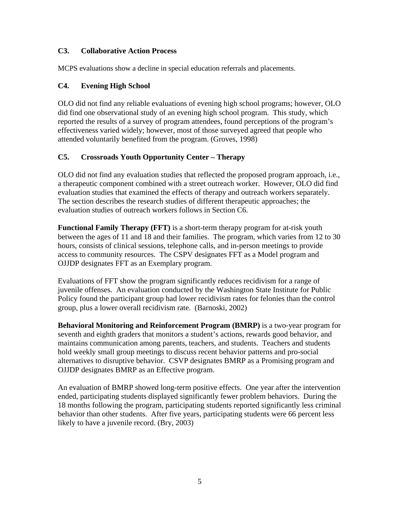#### **C3. Collaborative Action Process**

MCPS evaluations show a decline in special education referrals and placements.

### **C4. Evening High School**

OLO did not find any reliable evaluations of evening high school programs; however, OLO did find one observational study of an evening high school program. This study, which reported the results of a survey of program attendees, found perceptions of the program's effectiveness varied widely; however, most of those surveyed agreed that people who attended voluntarily benefited from the program. (Groves, 1998)

# **C5. Crossroads Youth Opportunity Center – Therapy**

OLO did not find any evaluation studies that reflected the proposed program approach, i.e., a therapeutic component combined with a street outreach worker. However, OLO did find evaluation studies that examined the effects of therapy and outreach workers separately. The section describes the research studies of different therapeutic approaches; the evaluation studies of outreach workers follows in Section C6.

**Functional Family Therapy (FFT)** is a short-term therapy program for at-risk youth between the ages of 11 and 18 and their families. The program, which varies from 12 to 30 hours, consists of clinical sessions, telephone calls, and in-person meetings to provide access to community resources. The CSPV designates FFT as a Model program and OJJDP designates FFT as an Exemplary program.

Evaluations of FFT show the program significantly reduces recidivism for a range of juvenile offenses. An evaluation conducted by the Washington State Institute for Public Policy found the participant group had lower recidivism rates for felonies than the control group, plus a lower overall recidivism rate. (Barnoski, 2002)

**Behavioral Monitoring and Reinforcement Program (BMRP)** is a two-year program for seventh and eighth graders that monitors a student's actions, rewards good behavior, and maintains communication among parents, teachers, and students. Teachers and students hold weekly small group meetings to discuss recent behavior patterns and pro-social alternatives to disruptive behavior. CSVP designates BMRP as a Promising program and OJJDP designates BMRP as an Effective program.

An evaluation of BMRP showed long-term positive effects. One year after the intervention ended, participating students displayed significantly fewer problem behaviors. During the 18 months following the program, participating students reported significantly less criminal behavior than other students. After five years, participating students were 66 percent less likely to have a juvenile record. (Bry, 2003)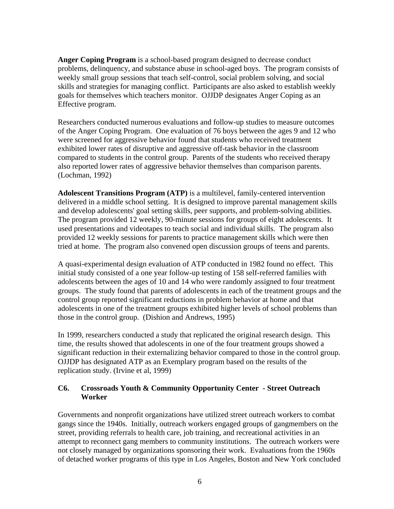**Anger Coping Program** is a school-based program designed to decrease conduct problems, delinquency, and substance abuse in school-aged boys. The program consists of weekly small group sessions that teach self-control, social problem solving, and social skills and strategies for managing conflict. Participants are also asked to establish weekly goals for themselves which teachers monitor. OJJDP designates Anger Coping as an Effective program.

Researchers conducted numerous evaluations and follow-up studies to measure outcomes of the Anger Coping Program. One evaluation of 76 boys between the ages 9 and 12 who were screened for aggressive behavior found that students who received treatment exhibited lower rates of disruptive and aggressive off-task behavior in the classroom compared to students in the control group. Parents of the students who received therapy also reported lower rates of aggressive behavior themselves than comparison parents. (Lochman, 1992)

**Adolescent Transitions Program (ATP)** is a multilevel, family-centered intervention delivered in a middle school setting. It is designed to improve parental management skills and develop adolescents' goal setting skills, peer supports, and problem-solving abilities. The program provided 12 weekly, 90-minute sessions for groups of eight adolescents. It used presentations and videotapes to teach social and individual skills. The program also provided 12 weekly sessions for parents to practice management skills which were then tried at home. The program also convened open discussion groups of teens and parents.

A quasi-experimental design evaluation of ATP conducted in 1982 found no effect. This initial study consisted of a one year follow-up testing of 158 self-referred families with adolescents between the ages of 10 and 14 who were randomly assigned to four treatment groups. The study found that parents of adolescents in each of the treatment groups and the control group reported significant reductions in problem behavior at home and that adolescents in one of the treatment groups exhibited higher levels of school problems than those in the control group. (Dishion and Andrews, 1995)

In 1999, researchers conducted a study that replicated the original research design. This time, the results showed that adolescents in one of the four treatment groups showed a significant reduction in their externalizing behavior compared to those in the control group. OJJDP has designated ATP as an Exemplary program based on the results of the replication study. (Irvine et al, 1999)

#### **C6. Crossroads Youth & Community Opportunity Center - Street Outreach Worker**

Governments and nonprofit organizations have utilized street outreach workers to combat gangs since the 1940s. Initially, outreach workers engaged groups of gangmembers on the street, providing referrals to health care, job training, and recreational activities in an attempt to reconnect gang members to community institutions. The outreach workers were not closely managed by organizations sponsoring their work. Evaluations from the 1960s of detached worker programs of this type in Los Angeles, Boston and New York concluded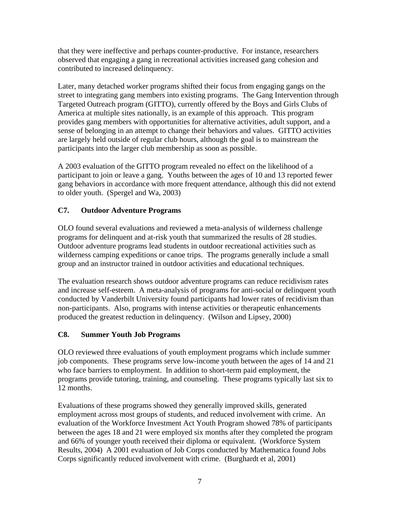that they were ineffective and perhaps counter-productive. For instance, researchers observed that engaging a gang in recreational activities increased gang cohesion and contributed to increased delinquency.

Later, many detached worker programs shifted their focus from engaging gangs on the street to integrating gang members into existing programs. The Gang Intervention through Targeted Outreach program (GITTO), currently offered by the Boys and Girls Clubs of America at multiple sites nationally, is an example of this approach. This program provides gang members with opportunities for alternative activities, adult support, and a sense of belonging in an attempt to change their behaviors and values. GITTO activities are largely held outside of regular club hours, although the goal is to mainstream the participants into the larger club membership as soon as possible.

A 2003 evaluation of the GITTO program revealed no effect on the likelihood of a participant to join or leave a gang. Youths between the ages of 10 and 13 reported fewer gang behaviors in accordance with more frequent attendance, although this did not extend to older youth. (Spergel and Wa, 2003)

# **C7. Outdoor Adventure Programs**

OLO found several evaluations and reviewed a meta-analysis of wilderness challenge programs for delinquent and at-risk youth that summarized the results of 28 studies. Outdoor adventure programs lead students in outdoor recreational activities such as wilderness camping expeditions or canoe trips. The programs generally include a small group and an instructor trained in outdoor activities and educational techniques.

The evaluation research shows outdoor adventure programs can reduce recidivism rates and increase self-esteem. A meta-analysis of programs for anti-social or delinquent youth conducted by Vanderbilt University found participants had lower rates of recidivism than non-participants. Also, programs with intense activities or therapeutic enhancements produced the greatest reduction in delinquency. (Wilson and Lipsey, 2000)

# **C8. Summer Youth Job Programs**

OLO reviewed three evaluations of youth employment programs which include summer job components. These programs serve low-income youth between the ages of 14 and 21 who face barriers to employment. In addition to short-term paid employment, the programs provide tutoring, training, and counseling. These programs typically last six to 12 months.

Evaluations of these programs showed they generally improved skills, generated employment across most groups of students, and reduced involvement with crime. An evaluation of the Workforce Investment Act Youth Program showed 78% of participants between the ages 18 and 21 were employed six months after they completed the program and 66% of younger youth received their diploma or equivalent. (Workforce System Results, 2004) A 2001 evaluation of Job Corps conducted by Mathematica found Jobs Corps significantly reduced involvement with crime. (Burghardt et al, 2001)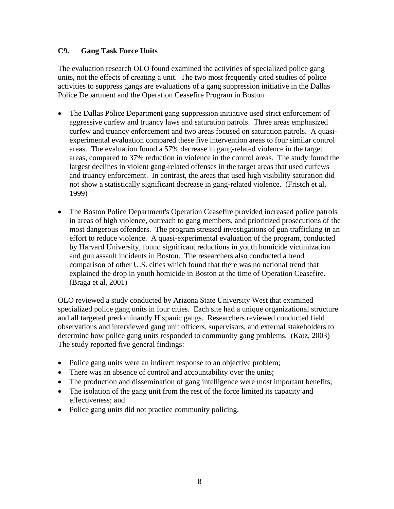#### **C9. Gang Task Force Units**

The evaluation research OLO found examined the activities of specialized police gang units, not the effects of creating a unit. The two most frequently cited studies of police activities to suppress gangs are evaluations of a gang suppression initiative in the Dallas Police Department and the Operation Ceasefire Program in Boston.

- The Dallas Police Department gang suppression initiative used strict enforcement of aggressive curfew and truancy laws and saturation patrols. Three areas emphasized curfew and truancy enforcement and two areas focused on saturation patrols. A quasiexperimental evaluation compared these five intervention areas to four similar control areas. The evaluation found a 57% decrease in gang-related violence in the target areas, compared to 37% reduction in violence in the control areas. The study found the largest declines in violent gang-related offenses in the target areas that used curfews and truancy enforcement. In contrast, the areas that used high visibility saturation did not show a statistically significant decrease in gang-related violence. (Fristch et al, 1999)
- The Boston Police Department's Operation Ceasefire provided increased police patrols in areas of high violence, outreach to gang members, and prioritized prosecutions of the most dangerous offenders. The program stressed investigations of gun trafficking in an effort to reduce violence. A quasi-experimental evaluation of the program, conducted by Harvard University, found significant reductions in youth homicide victimization and gun assault incidents in Boston. The researchers also conducted a trend comparison of other U.S. cities which found that there was no national trend that explained the drop in youth homicide in Boston at the time of Operation Ceasefire. (Braga et al, 2001)

OLO reviewed a study conducted by Arizona State University West that examined specialized police gang units in four cities. Each site had a unique organizational structure and all targeted predominantly Hispanic gangs. Researchers reviewed conducted field observations and interviewed gang unit officers, supervisors, and external stakeholders to determine how police gang units responded to community gang problems. (Katz, 2003) The study reported five general findings:

- Police gang units were an indirect response to an objective problem;
- There was an absence of control and accountability over the units;
- The production and dissemination of gang intelligence were most important benefits;
- The isolation of the gang unit from the rest of the force limited its capacity and effectiveness; and
- Police gang units did not practice community policing.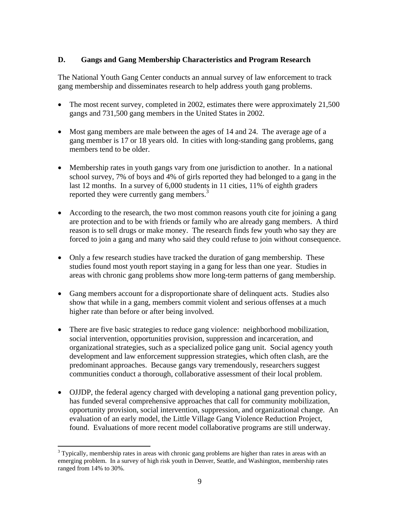### **D. Gangs and Gang Membership Characteristics and Program Research**

The National Youth Gang Center conducts an annual survey of law enforcement to track gang membership and disseminates research to help address youth gang problems.

- The most recent survey, completed in 2002, estimates there were approximately 21,500 gangs and 731,500 gang members in the United States in 2002.
- Most gang members are male between the ages of 14 and 24. The average age of a gang member is 17 or 18 years old. In cities with long-standing gang problems, gang members tend to be older.
- Membership rates in youth gangs vary from one jurisdiction to another. In a national school survey, 7% of boys and 4% of girls reported they had belonged to a gang in the last 12 months. In a survey of 6,000 students in 11 cities, 11% of eighth graders reported they were currently gang members.<sup>3</sup>
- According to the research, the two most common reasons youth cite for joining a gang are protection and to be with friends or family who are already gang members. A third reason is to sell drugs or make money. The research finds few youth who say they are forced to join a gang and many who said they could refuse to join without consequence.
- Only a few research studies have tracked the duration of gang membership. These studies found most youth report staying in a gang for less than one year. Studies in areas with chronic gang problems show more long-term patterns of gang membership.
- Gang members account for a disproportionate share of delinquent acts. Studies also show that while in a gang, members commit violent and serious offenses at a much higher rate than before or after being involved.
- There are five basic strategies to reduce gang violence: neighborhood mobilization, social intervention, opportunities provision, suppression and incarceration, and organizational strategies, such as a specialized police gang unit. Social agency youth development and law enforcement suppression strategies, which often clash, are the predominant approaches. Because gangs vary tremendously, researchers suggest communities conduct a thorough, collaborative assessment of their local problem.
- OJJDP, the federal agency charged with developing a national gang prevention policy, has funded several comprehensive approaches that call for community mobilization, opportunity provision, social intervention, suppression, and organizational change. An evaluation of an early model, the Little Village Gang Violence Reduction Project, found. Evaluations of more recent model collaborative programs are still underway.

 $\overline{a}$ <sup>3</sup> Typically, membership rates in areas with chronic gang problems are higher than rates in areas with an emerging problem. In a survey of high risk youth in Denver, Seattle, and Washington, membership rates ranged from 14% to 30%.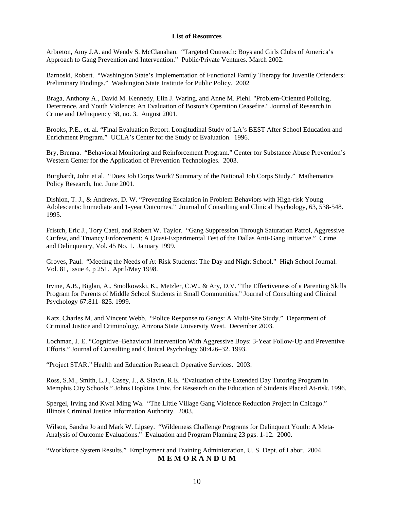#### **List of Resources**

Arbreton, Amy J.A. and Wendy S. McClanahan. "Targeted Outreach: Boys and Girls Clubs of America's Approach to Gang Prevention and Intervention." Public/Private Ventures. March 2002.

Barnoski, Robert. "Washington State's Implementation of Functional Family Therapy for Juvenile Offenders: Preliminary Findings." Washington State Institute for Public Policy. 2002

Braga, Anthony A., David M. Kennedy, Elin J. Waring, and Anne M. Piehl. "Problem-Oriented Policing, Deterrence, and Youth Violence: An Evaluation of Boston's Operation Ceasefire." Journal of Research in Crime and Delinquency 38, no. 3. August 2001.

Brooks, P.E., et. al. "Final Evaluation Report. Longitudinal Study of LA's BEST After School Education and Enrichment Program." UCLA's Center for the Study of Evaluation. 1996.

Bry, Brenna. "Behavioral Monitoring and Reinforcement Program." Center for Substance Abuse Prevention's Western Center for the Application of Prevention Technologies. 2003.

Burghardt, John et al. "Does Job Corps Work? Summary of the National Job Corps Study." Mathematica Policy Research, Inc. June 2001.

Dishion, T. J., & Andrews, D. W. "Preventing Escalation in Problem Behaviors with High-risk Young Adolescents: Immediate and 1-year Outcomes." Journal of Consulting and Clinical Psychology, 63, 538-548. 1995.

Fristch, Eric J., Tory Caeti, and Robert W. Taylor. "Gang Suppression Through Saturation Patrol, Aggressive Curfew, and Truancy Enforcement: A Quasi-Experimental Test of the Dallas Anti-Gang Initiative." Crime and Delinquency, Vol. 45 No. 1. January 1999.

Groves, Paul. "Meeting the Needs of At-Risk Students: The Day and Night School." High School Journal. Vol. 81, Issue 4, p 251. April/May 1998.

Irvine, A.B., Biglan, A., Smolkowski, K., Metzler, C.W., & Ary, D.V. "The Effectiveness of a Parenting Skills Program for Parents of Middle School Students in Small Communities." Journal of Consulting and Clinical Psychology 67:811–825. 1999.

Katz, Charles M. and Vincent Webb. "Police Response to Gangs: A Multi-Site Study." Department of Criminal Justice and Criminology, Arizona State University West. December 2003.

Lochman, J. E. "Cognitive–Behavioral Intervention With Aggressive Boys: 3-Year Follow-Up and Preventive Efforts." Journal of Consulting and Clinical Psychology 60:426–32. 1993.

"Project STAR." Health and Education Research Operative Services. 2003.

Ross, S.M., Smith, L.J., Casey, J., & Slavin, R.E. "Evaluation of the Extended Day Tutoring Program in Memphis City Schools." Johns Hopkins Univ. for Research on the Education of Students Placed At-risk. 1996.

Spergel, Irving and Kwai Ming Wa. "The Little Village Gang Violence Reduction Project in Chicago." Illinois Criminal Justice Information Authority. 2003.

Wilson, Sandra Jo and Mark W. Lipsey. "Wilderness Challenge Programs for Delinquent Youth: A Meta-Analysis of Outcome Evaluations." Evaluation and Program Planning 23 pgs. 1-12. 2000.

"Workforce System Results." Employment and Training Administration, U. S. Dept. of Labor. 2004. **M E M O R A N D U M**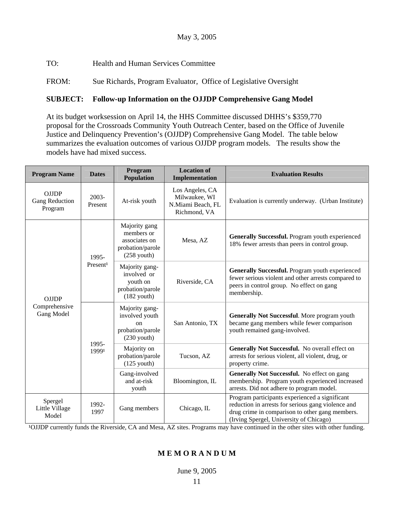TO: Health and Human Services Committee

FROM: Sue Richards, Program Evaluator, Office of Legislative Oversight

### **SUBJECT: Follow-up Information on the OJJDP Comprehensive Gang Model**

At its budget worksession on April 14, the HHS Committee discussed DHHS's \$359,770 proposal for the Crossroads Community Youth Outreach Center, based on the Office of Juvenile Justice and Delinquency Prevention's (OJJDP) Comprehensive Gang Model. The table below summarizes the evaluation outcomes of various OJJDP program models. The results show the models have had mixed success.

| <b>Program Name</b>                                                    | <b>Dates</b>         | Program<br>Population                                                                  | <b>Location of</b><br>Implementation                                  | <b>Evaluation Results</b>                                                                                                                                                                          |
|------------------------------------------------------------------------|----------------------|----------------------------------------------------------------------------------------|-----------------------------------------------------------------------|----------------------------------------------------------------------------------------------------------------------------------------------------------------------------------------------------|
| <b>OJJDP</b><br>Gang Reduction<br>Program                              | 2003-<br>Present     | At-risk youth                                                                          | Los Angeles, CA<br>Milwaukee, WI<br>N.Miami Beach, FL<br>Richmond, VA | Evaluation is currently underway. (Urban Institute)                                                                                                                                                |
| 1995-<br><b>OJJDP</b><br>Comprehensive<br>Gang Model<br>1995-<br>19991 |                      | Majority gang<br>members or<br>associates on<br>probation/parole<br>$(258$ youth)      | Mesa, AZ                                                              | Generally Successful. Program youth experienced<br>18% fewer arrests than peers in control group.                                                                                                  |
|                                                                        | Present <sup>1</sup> | Majority gang-<br>involved or<br>youth on<br>probation/parole<br>$(182$ youth)         | Riverside, CA                                                         | Generally Successful. Program youth experienced<br>fewer serious violent and other arrests compared to<br>peers in control group. No effect on gang<br>membership.                                 |
|                                                                        |                      | Majority gang-<br>involved youth<br><sub>on</sub><br>probation/parole<br>$(230$ youth) | San Antonio, TX                                                       | <b>Generally Not Successful.</b> More program youth<br>became gang members while fewer comparison<br>youth remained gang-involved.                                                                 |
|                                                                        |                      | Majority on<br>probation/parole<br>$(125$ youth)                                       | Tucson, AZ                                                            | Generally Not Successful. No overall effect on<br>arrests for serious violent, all violent, drug, or<br>property crime.                                                                            |
|                                                                        |                      | Gang-involved<br>and at-risk<br>youth                                                  | Bloomington, IL                                                       | Generally Not Successful. No effect on gang<br>membership. Program youth experienced increased<br>arrests. Did not adhere to program model.                                                        |
| Spergel<br>Little Village<br>Model                                     | 1992-<br>1997        | Gang members                                                                           | Chicago, IL                                                           | Program participants experienced a significant<br>reduction in arrests for serious gang violence and<br>drug crime in comparison to other gang members.<br>(Irving Spergel, University of Chicago) |

<sup>1</sup>OJJDP currently funds the Riverside, CA and Mesa, AZ sites. Programs may have continued in the other sites with other funding.

#### **M E M O R A N D U M**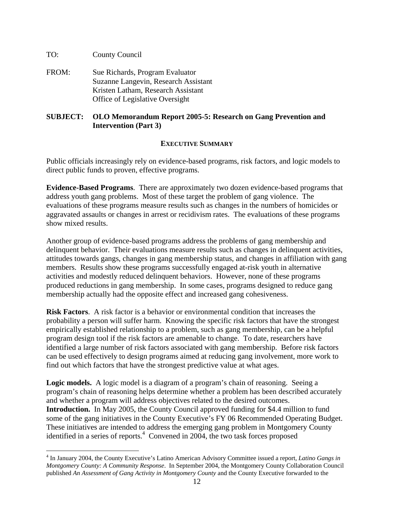#### TO: County Council

 $\overline{a}$ 

FROM: Sue Richards, Program Evaluator Suzanne Langevin, Research Assistant Kristen Latham, Research Assistant Office of Legislative Oversight

#### **SUBJECT: OLO Memorandum Report 2005-5: Research on Gang Prevention and Intervention (Part 3)**

#### **EXECUTIVE SUMMARY**

Public officials increasingly rely on evidence-based programs, risk factors, and logic models to direct public funds to proven, effective programs.

**Evidence-Based Programs**. There are approximately two dozen evidence-based programs that address youth gang problems. Most of these target the problem of gang violence. The evaluations of these programs measure results such as changes in the numbers of homicides or aggravated assaults or changes in arrest or recidivism rates. The evaluations of these programs show mixed results.

Another group of evidence-based programs address the problems of gang membership and delinquent behavior. Their evaluations measure results such as changes in delinquent activities, attitudes towards gangs, changes in gang membership status, and changes in affiliation with gang members. Results show these programs successfully engaged at-risk youth in alternative activities and modestly reduced delinquent behaviors. However, none of these programs produced reductions in gang membership. In some cases, programs designed to reduce gang membership actually had the opposite effect and increased gang cohesiveness.

**Risk Factors**. A risk factor is a behavior or environmental condition that increases the probability a person will suffer harm. Knowing the specific risk factors that have the strongest empirically established relationship to a problem, such as gang membership, can be a helpful program design tool if the risk factors are amenable to change. To date, researchers have identified a large number of risk factors associated with gang membership. Before risk factors can be used effectively to design programs aimed at reducing gang involvement, more work to find out which factors that have the strongest predictive value at what ages.

Logic models. A logic model is a diagram of a program's chain of reasoning. Seeing a program's chain of reasoning helps determine whether a problem has been described accurately and whether a program will address objectives related to the desired outcomes. **Introduction.** In May 2005, the County Council approved funding for \$4.4 million to fund some of the gang initiatives in the County Executive's FY 06 Recommended Operating Budget. These initiatives are intended to address the emerging gang problem in Montgomery County identified in a series of reports.<sup>4</sup> Convened in 2004, the two task forces proposed

<sup>4</sup> In January 2004, the County Executive's Latino American Advisory Committee issued a report, *Latino Gangs in Montgomery County: A Community Response*. In September 2004, the Montgomery County Collaboration Council published *An Assessment of Gang Activity in Montgomery County* and the County Executive forwarded to the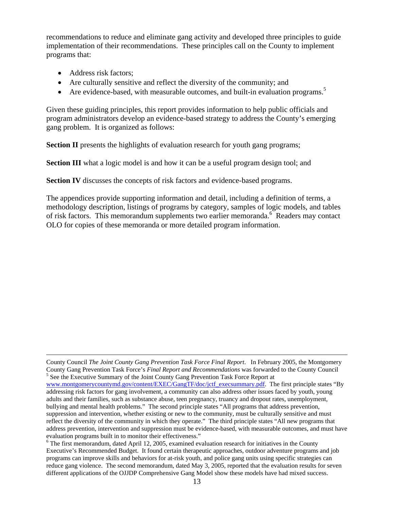recommendations to reduce and eliminate gang activity and developed three principles to guide implementation of their recommendations. These principles call on the County to implement programs that:

- Address risk factors;
- Are culturally sensitive and reflect the diversity of the community; and
- Are evidence-based, with measurable outcomes, and built-in evaluation programs.<sup>5</sup>

Given these guiding principles, this report provides information to help public officials and program administrators develop an evidence-based strategy to address the County's emerging gang problem. It is organized as follows:

**Section II** presents the highlights of evaluation research for youth gang programs;

**Section III** what a logic model is and how it can be a useful program design tool; and

**Section IV** discusses the concepts of risk factors and evidence-based programs.

The appendices provide supporting information and detail, including a definition of terms, a methodology description, listings of programs by category, samples of logic models, and tables of risk factors. This memorandum supplements two earlier memoranda.<sup>6</sup> Readers may contact OLO for copies of these memoranda or more detailed program information.

County Council *The Joint County Gang Prevention Task Force Final Report*. In February 2005, the Montgomery County Gang Prevention Task Force's *Final Report and Recommendations* was forwarded to the County Council 5  $5$  See the Executive Summary of the Joint County Gang Prevention Task Force Report at

www.montgomerycountymd.gov/content/EXEC/GangTF/doc/jctf\_execsummary.pdf. The first principle states "By addressing risk factors for gang involvement, a community can also address other issues faced by youth, young adults and their families, such as substance abuse, teen pregnancy, truancy and dropout rates, unemployment, bullying and mental health problems." The second principle states "All programs that address prevention, suppression and intervention, whether existing or new to the community, must be culturally sensitive and must reflect the diversity of the community in which they operate." The third principle states "All new programs that address prevention, intervention and suppression must be evidence-based, with measurable outcomes, and must have evaluation programs built in to monitor their effectiveness."

<sup>&</sup>lt;sup>6</sup> The first memorandum, dated April 12, 2005, examined evaluation research for initiatives in the County Executive's Recommended Budget. It found certain therapeutic approaches, outdoor adventure programs and job programs can improve skills and behaviors for at-risk youth, and police gang units using specific strategies can reduce gang violence. The second memorandum, dated May 3, 2005, reported that the evaluation results for seven different applications of the OJJDP Comprehensive Gang Model show these models have had mixed success.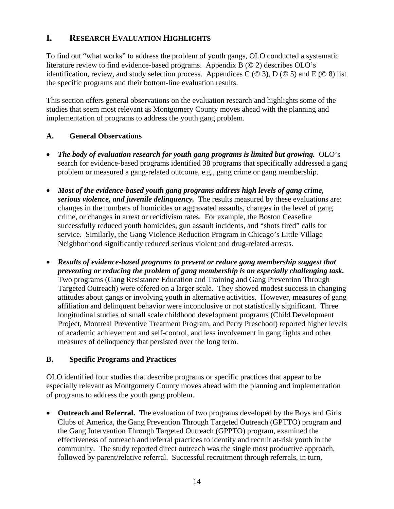# **I. RESEARCH EVALUATION HIGHLIGHTS**

To find out "what works" to address the problem of youth gangs, OLO conducted a systematic literature review to find evidence-based programs. Appendix B (© 2) describes OLO's identification, review, and study selection process. Appendices C ( $\odot$  3), D ( $\odot$  5) and E ( $\odot$  8) list the specific programs and their bottom-line evaluation results.

This section offers general observations on the evaluation research and highlights some of the studies that seem most relevant as Montgomery County moves ahead with the planning and implementation of programs to address the youth gang problem.

# **A. General Observations**

- *The body of evaluation research for youth gang programs is limited but growing.* OLO's search for evidence-based programs identified 38 programs that specifically addressed a gang problem or measured a gang-related outcome, e.g., gang crime or gang membership.
- *Most of the evidence-based youth gang programs address high levels of gang crime, serious violence, and juvenile delinquency.* The results measured by these evaluations are: changes in the numbers of homicides or aggravated assaults, changes in the level of gang crime, or changes in arrest or recidivism rates. For example, the Boston Ceasefire successfully reduced youth homicides, gun assault incidents, and "shots fired" calls for service. Similarly, the Gang Violence Reduction Program in Chicago's Little Village Neighborhood significantly reduced serious violent and drug-related arrests.
- *Results of evidence-based programs to prevent or reduce gang membership suggest that preventing or reducing the problem of gang membership is an especially challenging task.* Two programs (Gang Resistance Education and Training and Gang Prevention Through Targeted Outreach) were offered on a larger scale. They showed modest success in changing attitudes about gangs or involving youth in alternative activities. However, measures of gang affiliation and delinquent behavior were inconclusive or not statistically significant. Three longitudinal studies of small scale childhood development programs (Child Development Project, Montreal Preventive Treatment Program, and Perry Preschool) reported higher levels of academic achievement and self-control, and less involvement in gang fights and other measures of delinquency that persisted over the long term.

# **B. Specific Programs and Practices**

OLO identified four studies that describe programs or specific practices that appear to be especially relevant as Montgomery County moves ahead with the planning and implementation of programs to address the youth gang problem.

• **Outreach and Referral.** The evaluation of two programs developed by the Boys and Girls Clubs of America, the Gang Prevention Through Targeted Outreach (GPTTO) program and the Gang Intervention Through Targeted Outreach (GPPTO) program, examined the effectiveness of outreach and referral practices to identify and recruit at-risk youth in the community. The study reported direct outreach was the single most productive approach, followed by parent/relative referral. Successful recruitment through referrals, in turn,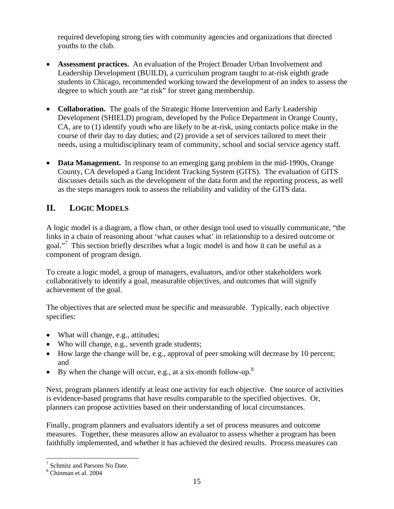required developing strong ties with community agencies and organizations that directed youths to the club.

- **Assessment practices.** An evaluation of the Project Broader Urban Involvement and Leadership Development (BUILD), a curriculum program taught to at-risk eighth grade students in Chicago, recommended working toward the development of an index to assess the degree to which youth are "at risk" for street gang membership.
- **Collaboration.** The goals of the Strategic Home Intervention and Early Leadership Development (SHIELD) program, developed by the Police Department in Orange County, CA, are to (1) identify youth who are likely to be at-risk, using contacts police make in the course of their day to day duties; and (2) provide a set of services tailored to meet their needs, using a multidisciplinary team of community, school and social service agency staff.
- **Data Management.** In response to an emerging gang problem in the mid-1990s, Orange County, CA developed a Gang Incident Tracking System (GITS). The evaluation of GITS discusses details such as the development of the data form and the reporting process, as well as the steps managers took to assess the reliability and validity of the GITS data.

# **II. LOGIC MODELS**

A logic model is a diagram, a flow chart, or other design tool used to visually communicate, "the links in a chain of reasoning about 'what causes what' in relationship to a desired outcome or goal."<sup>7</sup> This section briefly describes what a logic model is and how it can be useful as a component of program design.

To create a logic model, a group of managers, evaluators, and/or other stakeholders work collaboratively to identify a goal, measurable objectives, and outcomes that will signify achievement of the goal.

The objectives that are selected must be specific and measurable. Typically, each objective specifies:

- What will change, e.g., attitudes;
- Who will change, e.g., seventh grade students;
- How large the change will be, e.g., approval of peer smoking will decrease by 10 percent; and
- By when the change will occur, e.g., at a six-month follow-up.<sup>8</sup>

Next, program planners identify at least one activity for each objective. One source of activities is evidence-based programs that have results comparable to the specified objectives. Or, planners can propose activities based on their understanding of local circumstances.

Finally, program planners and evaluators identify a set of process measures and outcome measures. Together, these measures allow an evaluator to assess whether a program has been faithfully implemented, and whether it has achieved the desired results. Process measures can

 7 Schmitz and Parsons No Date.

<sup>8</sup> Chinman et al. 2004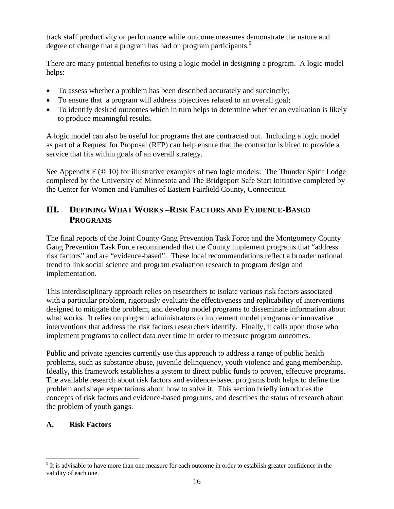track staff productivity or performance while outcome measures demonstrate the nature and degree of change that a program has had on program participants.<sup>9</sup>

There are many potential benefits to using a logic model in designing a program. A logic model helps:

- To assess whether a problem has been described accurately and succinctly;
- To ensure that a program will address objectives related to an overall goal;
- To identify desired outcomes which in turn helps to determine whether an evaluation is likely to produce meaningful results.

A logic model can also be useful for programs that are contracted out. Including a logic model as part of a Request for Proposal (RFP) can help ensure that the contractor is hired to provide a service that fits within goals of an overall strategy.

See Appendix F (© 10) for illustrative examples of two logic models: The Thunder Spirit Lodge completed by the University of Minnesota and The Bridgeport Safe Start Initiative completed by the Center for Women and Families of Eastern Fairfield County, Connecticut.

# **III. DEFINING WHAT WORKS –RISK FACTORS AND EVIDENCE-BASED PROGRAMS**

The final reports of the Joint County Gang Prevention Task Force and the Montgomery County Gang Prevention Task Force recommended that the County implement programs that "address risk factors" and are "evidence-based". These local recommendations reflect a broader national trend to link social science and program evaluation research to program design and implementation.

This interdisciplinary approach relies on researchers to isolate various risk factors associated with a particular problem, rigorously evaluate the effectiveness and replicability of interventions designed to mitigate the problem, and develop model programs to disseminate information about what works. It relies on program administrators to implement model programs or innovative interventions that address the risk factors researchers identify. Finally, it calls upon those who implement programs to collect data over time in order to measure program outcomes.

Public and private agencies currently use this approach to address a range of public health problems, such as substance abuse, juvenile delinquency, youth violence and gang membership. Ideally, this framework establishes a system to direct public funds to proven, effective programs. The available research about risk factors and evidence-based programs both helps to define the problem and shape expectations about how to solve it. This section briefly introduces the concepts of risk factors and evidence-based programs, and describes the status of research about the problem of youth gangs.

#### **A. Risk Factors**

 $\overline{a}$ 

 $9$  It is advisable to have more than one measure for each outcome in order to establish greater confidence in the validity of each one.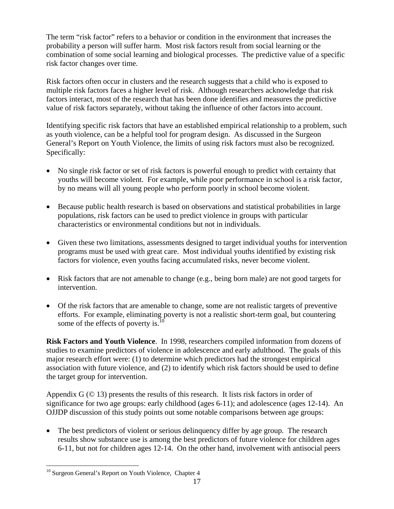The term "risk factor" refers to a behavior or condition in the environment that increases the probability a person will suffer harm. Most risk factors result from social learning or the combination of some social learning and biological processes. The predictive value of a specific risk factor changes over time.

Risk factors often occur in clusters and the research suggests that a child who is exposed to multiple risk factors faces a higher level of risk. Although researchers acknowledge that risk factors interact, most of the research that has been done identifies and measures the predictive value of risk factors separately, without taking the influence of other factors into account.

Identifying specific risk factors that have an established empirical relationship to a problem, such as youth violence, can be a helpful tool for program design. As discussed in the Surgeon General's Report on Youth Violence, the limits of using risk factors must also be recognized. Specifically:

- No single risk factor or set of risk factors is powerful enough to predict with certainty that youths will become violent.For example, while poor performance in school is a risk factor, by no means will all young people who perform poorly in school become violent.
- Because public health research is based on observations and statistical probabilities in large populations, risk factors can be used to predict violence in groups with particular characteristics or environmental conditions but not in individuals.
- Given these two limitations, assessments designed to target individual youths for intervention programs must be used with great care. Most individual youths identified by existing risk factors for violence, even youths facing accumulated risks, never become violent.
- Risk factors that are not amenable to change (e.g., being born male) are not good targets for intervention.
- Of the risk factors that are amenable to change, some are not realistic targets of preventive efforts. For example, eliminating poverty is not a realistic short-term goal, but countering some of the effects of poverty is.<sup>10</sup>

**Risk Factors and Youth Violence**. In 1998, researchers compiled information from dozens of studies to examine predictors of violence in adolescence and early adulthood. The goals of this major research effort were: (1) to determine which predictors had the strongest empirical association with future violence, and (2) to identify which risk factors should be used to define the target group for intervention.

Appendix G  $(\odot$  13) presents the results of this research. It lists risk factors in order of significance for two age groups: early childhood (ages 6-11); and adolescence (ages 12-14). An OJJDP discussion of this study points out some notable comparisons between age groups:

• The best predictors of violent or serious delinquency differ by age group. The research results show substance use is among the best predictors of future violence for children ages 6-11, but not for children ages 12-14. On the other hand, involvement with antisocial peers

 $\overline{a}$ 

<sup>&</sup>lt;sup>10</sup> Surgeon General's Report on Youth Violence, Chapter 4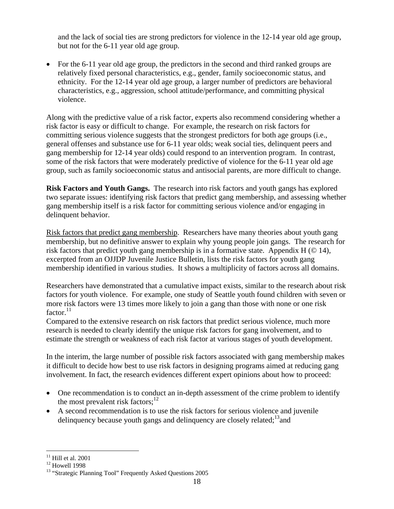and the lack of social ties are strong predictors for violence in the 12-14 year old age group, but not for the 6-11 year old age group.

• For the 6-11 year old age group, the predictors in the second and third ranked groups are relatively fixed personal characteristics, e.g., gender, family socioeconomic status, and ethnicity. For the 12-14 year old age group, a larger number of predictors are behavioral characteristics, e.g., aggression, school attitude/performance, and committing physical violence.

Along with the predictive value of a risk factor, experts also recommend considering whether a risk factor is easy or difficult to change. For example, the research on risk factors for committing serious violence suggests that the strongest predictors for both age groups (i.e., general offenses and substance use for 6-11 year olds; weak social ties, delinquent peers and gang membership for 12-14 year olds) could respond to an intervention program. In contrast, some of the risk factors that were moderately predictive of violence for the 6-11 year old age group, such as family socioeconomic status and antisocial parents, are more difficult to change.

**Risk Factors and Youth Gangs.** The research into risk factors and youth gangs has explored two separate issues: identifying risk factors that predict gang membership, and assessing whether gang membership itself is a risk factor for committing serious violence and/or engaging in delinquent behavior.

Risk factors that predict gang membership. Researchers have many theories about youth gang membership, but no definitive answer to explain why young people join gangs. The research for risk factors that predict youth gang membership is in a formative state. Appendix H  $(\odot 14)$ , excerpted from an OJJDP Juvenile Justice Bulletin, lists the risk factors for youth gang membership identified in various studies. It shows a multiplicity of factors across all domains.

Researchers have demonstrated that a cumulative impact exists, similar to the research about risk factors for youth violence. For example, one study of Seattle youth found children with seven or more risk factors were 13 times more likely to join a gang than those with none or one risk factor.<sup>11</sup>

Compared to the extensive research on risk factors that predict serious violence, much more research is needed to clearly identify the unique risk factors for gang involvement, and to estimate the strength or weakness of each risk factor at various stages of youth development.

In the interim, the large number of possible risk factors associated with gang membership makes it difficult to decide how best to use risk factors in designing programs aimed at reducing gang involvement. In fact, the research evidences different expert opinions about how to proceed:

- One recommendation is to conduct an in-depth assessment of the crime problem to identify the most prevalent risk factors; $12$
- A second recommendation is to use the risk factors for serious violence and juvenile delinguency because youth gangs and delinguency are closely related;  $\frac{13}{3}$  and

<sup>1</sup>  $11$  Hill et al. 2001

<sup>&</sup>lt;sup>12</sup> Howell 1998

<sup>&</sup>lt;sup>13</sup> "Strategic Planning Tool" Frequently Asked Questions 2005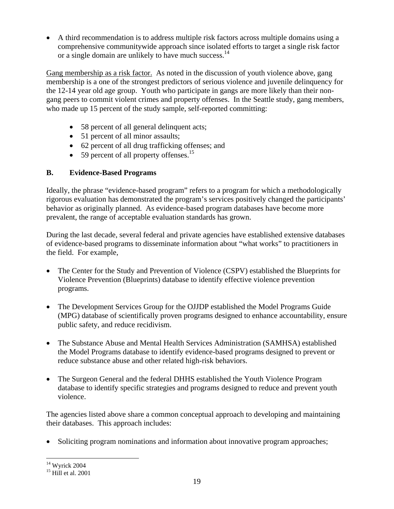• A third recommendation is to address multiple risk factors across multiple domains using a comprehensive communitywide approach since isolated efforts to target a single risk factor or a single domain are unlikely to have much success.<sup>14</sup>

Gang membership as a risk factor. As noted in the discussion of youth violence above, gang membership is a one of the strongest predictors of serious violence and juvenile delinquency for the 12-14 year old age group. Youth who participate in gangs are more likely than their nongang peers to commit violent crimes and property offenses. In the Seattle study, gang members, who made up 15 percent of the study sample, self-reported committing:

- 58 percent of all general delinquent acts;
- 51 percent of all minor assaults;
- 62 percent of all drug trafficking offenses; and
- $\bullet$  59 percent of all property offenses.<sup>15</sup>

#### **B. Evidence-Based Programs**

Ideally, the phrase "evidence-based program" refers to a program for which a methodologically rigorous evaluation has demonstrated the program's services positively changed the participants' behavior as originally planned. As evidence-based program databases have become more prevalent, the range of acceptable evaluation standards has grown.

During the last decade, several federal and private agencies have established extensive databases of evidence-based programs to disseminate information about "what works" to practitioners in the field. For example,

- The Center for the Study and Prevention of Violence (CSPV) established the Blueprints for Violence Prevention (Blueprints) database to identify effective violence prevention programs.
- The Development Services Group for the OJJDP established the Model Programs Guide (MPG) database of scientifically proven programs designed to enhance accountability, ensure public safety, and reduce recidivism.
- The Substance Abuse and Mental Health Services Administration (SAMHSA) established the Model Programs database to identify evidence-based programs designed to prevent or reduce substance abuse and other related high-risk behaviors.
- The Surgeon General and the federal DHHS established the Youth Violence Program database to identify specific strategies and programs designed to reduce and prevent youth violence.

The agencies listed above share a common conceptual approach to developing and maintaining their databases. This approach includes:

• Soliciting program nominations and information about innovative program approaches;

<u>.</u>

 $14$  Wyrick 2004

 $15$  Hill et al. 2001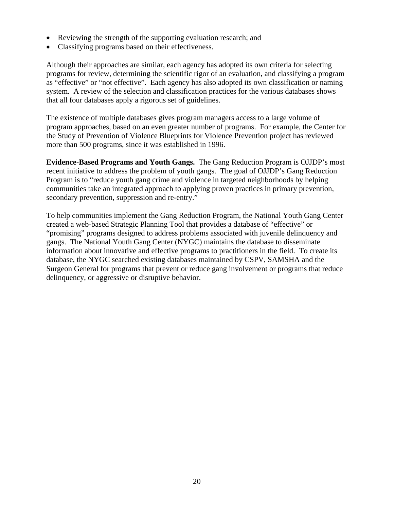- Reviewing the strength of the supporting evaluation research; and
- Classifying programs based on their effectiveness.

Although their approaches are similar, each agency has adopted its own criteria for selecting programs for review, determining the scientific rigor of an evaluation, and classifying a program as "effective" or "not effective". Each agency has also adopted its own classification or naming system. A review of the selection and classification practices for the various databases shows that all four databases apply a rigorous set of guidelines.

The existence of multiple databases gives program managers access to a large volume of program approaches, based on an even greater number of programs. For example, the Center for the Study of Prevention of Violence Blueprints for Violence Prevention project has reviewed more than 500 programs, since it was established in 1996.

**Evidence-Based Programs and Youth Gangs.** The Gang Reduction Program is OJJDP's most recent initiative to address the problem of youth gangs. The goal of OJJDP's Gang Reduction Program is to "reduce youth gang crime and violence in targeted neighborhoods by helping communities take an integrated approach to applying proven practices in primary prevention, secondary prevention, suppression and re-entry."

To help communities implement the Gang Reduction Program, the National Youth Gang Center created a web-based Strategic Planning Tool that provides a database of "effective" or "promising" programs designed to address problems associated with juvenile delinquency and gangs. The National Youth Gang Center (NYGC) maintains the database to disseminate information about innovative and effective programs to practitioners in the field. To create its database, the NYGC searched existing databases maintained by CSPV, SAMSHA and the Surgeon General for programs that prevent or reduce gang involvement or programs that reduce delinquency, or aggressive or disruptive behavior.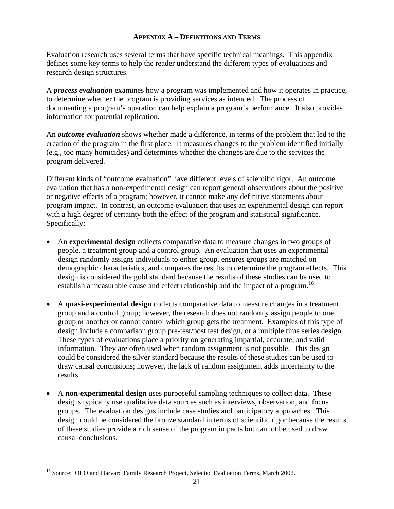#### **APPENDIX A – DEFINITIONS AND TERMS**

Evaluation research uses several terms that have specific technical meanings. This appendix defines some key terms to help the reader understand the different types of evaluations and research design structures.

A *process evaluation* examines how a program was implemented and how it operates in practice, to determine whether the program is providing services as intended. The process of documenting a program's operation can help explain a program's performance. It also provides information for potential replication.

An *outcome evaluation* shows whether made a difference, in terms of the problem that led to the creation of the program in the first place. It measures changes to the problem identified initially (e.g., too many homicides) and determines whether the changes are due to the services the program delivered.

Different kinds of "outcome evaluation" have different levels of scientific rigor. An outcome evaluation that has a non-experimental design can report general observations about the positive or negative effects of a program; however, it cannot make any definitive statements about program impact. In contrast, an outcome evaluation that uses an experimental design can report with a high degree of certainty both the effect of the program and statistical significance. Specifically:

- An **experimental design** collects comparative data to measure changes in two groups of people, a treatment group and a control group. An evaluation that uses an experimental design randomly assigns individuals to either group, ensures groups are matched on demographic characteristics, and compares the results to determine the program effects. This design is considered the gold standard because the results of these studies can be used to establish a measurable cause and effect relationship and the impact of a program.<sup>16</sup>
- A **quasi-experimental design** collects comparative data to measure changes in a treatment group and a control group; however, the research does not randomly assign people to one group or another or cannot control which group gets the treatment. Examples of this type of design include a comparison group pre-test/post test design, or a multiple time series design. These types of evaluations place a priority on generating impartial, accurate, and valid information. They are often used when random assignment is not possible. This design could be considered the silver standard because the results of these studies can be used to draw causal conclusions; however, the lack of random assignment adds uncertainty to the results.
- A **non-experimental design** uses purposeful sampling techniques to collect data. These designs typically use qualitative data sources such as interviews, observation, and focus groups. The evaluation designs include case studies and participatory approaches. This design could be considered the bronze standard in terms of scientific rigor because the results of these studies provide a rich sense of the program impacts but cannot be used to draw causal conclusions.

 $\overline{a}$ 

<sup>&</sup>lt;sup>16</sup> Source: OLO and Harvard Family Research Project, Selected Evaluation Terms, March 2002.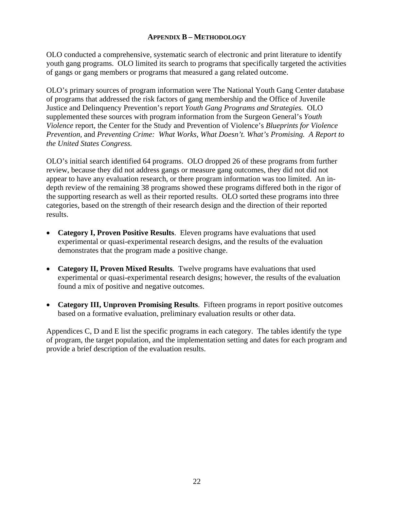#### **APPENDIX B – METHODOLOGY**

OLO conducted a comprehensive, systematic search of electronic and print literature to identify youth gang programs. OLO limited its search to programs that specifically targeted the activities of gangs or gang members or programs that measured a gang related outcome.

OLO's primary sources of program information were The National Youth Gang Center database of programs that addressed the risk factors of gang membership and the Office of Juvenile Justice and Delinquency Prevention's report *Youth Gang Programs and Strategies.* OLO supplemented these sources with program information from the Surgeon General's *Youth Violence* report, the Center for the Study and Prevention of Violence's *Blueprints for Violence Prevention,* and *Preventing Crime: What Works, What Doesn't. What's Promising. A Report to the United States Congress.*

OLO's initial search identified 64 programs. OLO dropped 26 of these programs from further review, because they did not address gangs or measure gang outcomes, they did not did not appear to have any evaluation research, or there program information was too limited. An indepth review of the remaining 38 programs showed these programs differed both in the rigor of the supporting research as well as their reported results. OLO sorted these programs into three categories, based on the strength of their research design and the direction of their reported results.

- **Category I, Proven Positive Results**. Eleven programs have evaluations that used experimental or quasi-experimental research designs, and the results of the evaluation demonstrates that the program made a positive change.
- **Category II, Proven Mixed Results**. Twelve programs have evaluations that used experimental or quasi-experimental research designs; however, the results of the evaluation found a mix of positive and negative outcomes.
- **Category III, Unproven Promising Results**. Fifteen programs in report positive outcomes based on a formative evaluation, preliminary evaluation results or other data.

Appendices C, D and E list the specific programs in each category. The tables identify the type of program, the target population, and the implementation setting and dates for each program and provide a brief description of the evaluation results.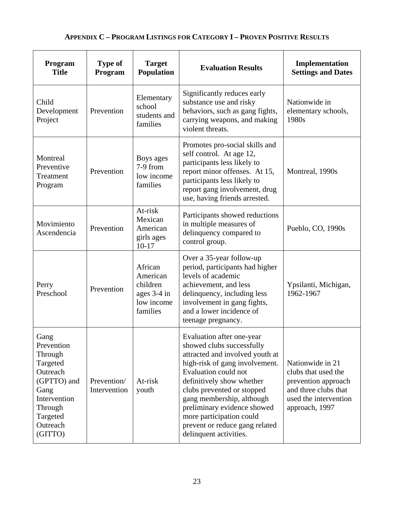# **APPENDIX C – PROGRAM LISTINGS FOR CATEGORY I – PROVEN POSITIVE RESULTS**

| Program<br><b>Title</b>                                                                                                                    | <b>Type of</b><br>Program   | <b>Target</b><br>Population                                              | <b>Evaluation Results</b>                                                                                                                                                                                                                                                                                                                                          | Implementation<br><b>Settings and Dates</b>                                                                                       |
|--------------------------------------------------------------------------------------------------------------------------------------------|-----------------------------|--------------------------------------------------------------------------|--------------------------------------------------------------------------------------------------------------------------------------------------------------------------------------------------------------------------------------------------------------------------------------------------------------------------------------------------------------------|-----------------------------------------------------------------------------------------------------------------------------------|
| Child<br>Development<br>Project                                                                                                            | Prevention                  | Elementary<br>school<br>students and<br>families                         | Significantly reduces early<br>substance use and risky<br>behaviors, such as gang fights,<br>carrying weapons, and making<br>violent threats.                                                                                                                                                                                                                      | Nationwide in<br>elementary schools,<br>1980s                                                                                     |
| Montreal<br>Preventive<br>Treatment<br>Program                                                                                             | Prevention                  | Boys ages<br>7-9 from<br>low income<br>families                          | Promotes pro-social skills and<br>self control. At age 12,<br>participants less likely to<br>report minor offenses. At 15,<br>participants less likely to<br>report gang involvement, drug<br>use, having friends arrested.                                                                                                                                        | Montreal, 1990s                                                                                                                   |
| Movimiento<br>Ascendencia                                                                                                                  | Prevention                  | At-risk<br>Mexican<br>American<br>girls ages<br>$10 - 17$                | Participants showed reductions<br>in multiple measures of<br>delinquency compared to<br>control group.                                                                                                                                                                                                                                                             | Pueblo, CO, 1990s                                                                                                                 |
| Perry<br>Preschool                                                                                                                         | Prevention                  | African<br>American<br>children<br>ages 3-4 in<br>low income<br>families | Over a 35-year follow-up<br>period, participants had higher<br>levels of academic<br>achievement, and less<br>delinquency, including less<br>involvement in gang fights,<br>and a lower incidence of<br>teenage pregnancy.                                                                                                                                         | Ypsilanti, Michigan,<br>1962-1967                                                                                                 |
| Gang<br>Prevention<br>Through<br>Targeted<br>Outreach<br>(GPTTO) and<br>Gang<br>Intervention<br>Through<br>Targeted<br>Outreach<br>(GITTO) | Prevention/<br>Intervention | At-risk<br>youth                                                         | Evaluation after one-year<br>showed clubs successfully<br>attracted and involved youth at<br>high-risk of gang involvement.<br>Evaluation could not<br>definitively show whether<br>clubs prevented or stopped<br>gang membership, although<br>preliminary evidence showed<br>more participation could<br>prevent or reduce gang related<br>delinquent activities. | Nationwide in 21<br>clubs that used the<br>prevention approach<br>and three clubs that<br>used the intervention<br>approach, 1997 |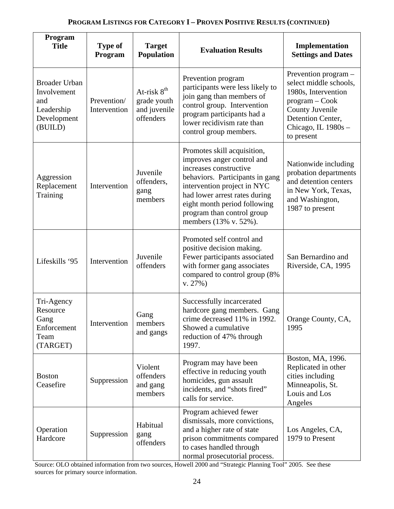### **PROGRAM LISTINGS FOR CATEGORY I – PROVEN POSITIVE RESULTS (CONTINUED)**

| Program<br><b>Title</b>                                                            | <b>Type of</b><br>Program   | <b>Target</b><br><b>Population</b>                                  | <b>Evaluation Results</b>                                                                                                                                                                                                                                                     | Implementation<br><b>Settings and Dates</b>                                                                                                                            |
|------------------------------------------------------------------------------------|-----------------------------|---------------------------------------------------------------------|-------------------------------------------------------------------------------------------------------------------------------------------------------------------------------------------------------------------------------------------------------------------------------|------------------------------------------------------------------------------------------------------------------------------------------------------------------------|
| <b>Broader Urban</b><br>Involvement<br>and<br>Leadership<br>Development<br>(BUILD) | Prevention/<br>Intervention | At-risk 8 <sup>th</sup><br>grade youth<br>and juvenile<br>offenders | Prevention program<br>participants were less likely to<br>join gang than members of<br>control group. Intervention<br>program participants had a<br>lower recidivism rate than<br>control group members.                                                                      | Prevention program -<br>select middle schools,<br>1980s, Intervention<br>$program - Cook$<br>County Juvenile<br>Detention Center,<br>Chicago, IL 1980s -<br>to present |
| Aggression<br>Replacement<br>Training                                              | Intervention                | Juvenile<br>offenders,<br>gang<br>members                           | Promotes skill acquisition,<br>improves anger control and<br>increases constructive<br>behaviors. Participants in gang<br>intervention project in NYC<br>had lower arrest rates during<br>eight month period following<br>program than control group<br>members (13% v. 52%). | Nationwide including<br>probation departments<br>and detention centers<br>in New York, Texas,<br>and Washington,<br>1987 to present                                    |
| Lifeskills '95                                                                     | Intervention                | Juvenile<br>offenders                                               | Promoted self control and<br>positive decision making.<br>Fewer participants associated<br>with former gang associates<br>compared to control group (8%<br>$v. 27\%)$                                                                                                         | San Bernardino and<br>Riverside, CA, 1995                                                                                                                              |
| Tri-Agency<br>Resource<br>Gang<br>Enforcement<br>Team<br>(TARGET)                  | Intervention                | Gang<br>members<br>and gangs                                        | Successfully incarcerated<br>hardcore gang members. Gang<br>crime decreased 11% in 1992.<br>Showed a cumulative<br>reduction of 47% through<br>1997.                                                                                                                          | Orange County, CA,<br>1995                                                                                                                                             |
| <b>Boston</b><br>Ceasefire                                                         | Suppression                 | Violent<br>offenders<br>and gang<br>members                         | Program may have been<br>effective in reducing youth<br>homicides, gun assault<br>incidents, and "shots fired"<br>calls for service.                                                                                                                                          | Boston, MA, 1996.<br>Replicated in other<br>cities including<br>Minneapolis, St.<br>Louis and Los<br>Angeles                                                           |
| Operation<br>Hardcore                                                              | Suppression                 | Habitual<br>gang<br>offenders                                       | Program achieved fewer<br>dismissals, more convictions,<br>and a higher rate of state<br>prison commitments compared<br>to cases handled through<br>normal prosecutorial process.                                                                                             | Los Angeles, CA,<br>1979 to Present                                                                                                                                    |

Source: OLO obtained information from two sources, Howell 2000 and "Strategic Planning Tool" 2005. See these sources for primary source information.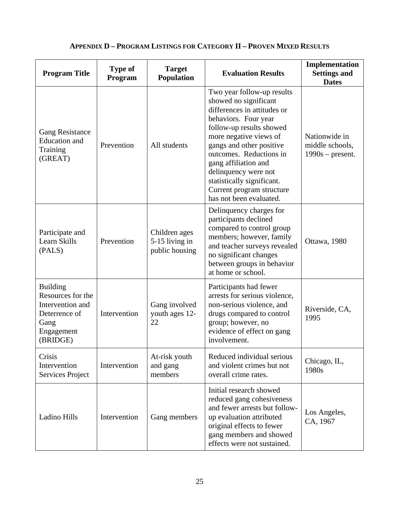| <b>Program Title</b>                                                                                        | <b>Type of</b><br>Program | <b>Target</b><br><b>Population</b>                | <b>Evaluation Results</b>                                                                                                                                                                                                                                                                                                                                     | Implementation<br><b>Settings and</b><br><b>Dates</b>  |
|-------------------------------------------------------------------------------------------------------------|---------------------------|---------------------------------------------------|---------------------------------------------------------------------------------------------------------------------------------------------------------------------------------------------------------------------------------------------------------------------------------------------------------------------------------------------------------------|--------------------------------------------------------|
| <b>Gang Resistance</b><br><b>Education</b> and<br>Training<br>(GREAT)                                       | Prevention                | All students                                      | Two year follow-up results<br>showed no significant<br>differences in attitudes or<br>behaviors. Four year<br>follow-up results showed<br>more negative views of<br>gangs and other positive<br>outcomes. Reductions in<br>gang affiliation and<br>delinquency were not<br>statistically significant.<br>Current program structure<br>has not been evaluated. | Nationwide in<br>middle schools,<br>$1990s$ – present. |
| Participate and<br>Learn Skills<br>(PALS)                                                                   | Prevention                | Children ages<br>5-15 living in<br>public housing | Delinquency charges for<br>participants declined<br>compared to control group<br>members; however, family<br>and teacher surveys revealed<br>no significant changes<br>between groups in behavior<br>at home or school.                                                                                                                                       | Ottawa, 1980                                           |
| <b>Building</b><br>Resources for the<br>Intervention and<br>Deterrence of<br>Gang<br>Engagement<br>(BRIDGE) | Intervention              | Gang involved<br>youth ages 12-<br>22             | Participants had fewer<br>arrests for serious violence,<br>non-serious violence, and<br>drugs compared to control<br>group; however, no<br>evidence of effect on gang<br>involvement.                                                                                                                                                                         | Riverside, CA,<br>1995                                 |
| Crisis<br>Intervention<br>Services Project                                                                  | Intervention              | At-risk youth<br>and gang<br>members              | Reduced individual serious<br>and violent crimes but not<br>overall crime rates.                                                                                                                                                                                                                                                                              | Chicago, IL,<br>1980s                                  |
| Ladino Hills                                                                                                | Intervention              | Gang members                                      | Initial research showed<br>reduced gang cohesiveness<br>and fewer arrests but follow-<br>up evaluation attributed<br>original effects to fewer<br>gang members and showed<br>effects were not sustained.                                                                                                                                                      | Los Angeles,<br>CA, 1967                               |

# **APPENDIX D – PROGRAM LISTINGS FOR CATEGORY II – PROVEN MIXED RESULTS**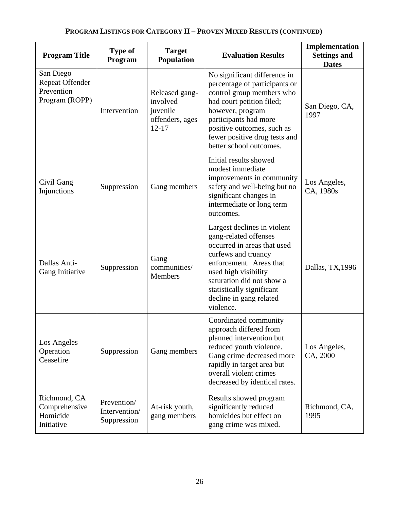| <b>Program Title</b>                                                | <b>Type of</b><br>Program                   | <b>Target</b><br><b>Population</b>                                     | <b>Evaluation Results</b>                                                                                                                                                                                                                                       | Implementation<br><b>Settings and</b><br><b>Dates</b> |
|---------------------------------------------------------------------|---------------------------------------------|------------------------------------------------------------------------|-----------------------------------------------------------------------------------------------------------------------------------------------------------------------------------------------------------------------------------------------------------------|-------------------------------------------------------|
| San Diego<br><b>Repeat Offender</b><br>Prevention<br>Program (ROPP) | Intervention                                | Released gang-<br>involved<br>juvenile<br>offenders, ages<br>$12 - 17$ | No significant difference in<br>percentage of participants or<br>control group members who<br>had court petition filed;<br>however, program<br>participants had more<br>positive outcomes, such as<br>fewer positive drug tests and<br>better school outcomes.  | San Diego, CA,<br>1997                                |
| Civil Gang<br>Injunctions                                           | Suppression                                 | Gang members                                                           | Initial results showed<br>modest immediate<br>improvements in community<br>safety and well-being but no<br>significant changes in<br>intermediate or long term<br>outcomes.                                                                                     | Los Angeles,<br>CA, 1980s                             |
| Dallas Anti-<br>Gang Initiative                                     | Suppression                                 | Gang<br>communities/<br>Members                                        | Largest declines in violent<br>gang-related offenses<br>occurred in areas that used<br>curfews and truancy<br>enforcement. Areas that<br>used high visibility<br>saturation did not show a<br>statistically significant<br>decline in gang related<br>violence. | Dallas, TX, 1996                                      |
| Los Angeles<br>Operation<br>Ceasefire                               | Suppression                                 | Gang members                                                           | Coordinated community<br>approach differed from<br>planned intervention but<br>reduced youth violence.<br>Gang crime decreased more<br>rapidly in target area but<br>overall violent crimes<br>decreased by identical rates.                                    | Los Angeles,<br>CA, 2000                              |
| Richmond, CA<br>Comprehensive<br>Homicide<br>Initiative             | Prevention/<br>Intervention/<br>Suppression | At-risk youth,<br>gang members                                         | Results showed program<br>significantly reduced<br>homicides but effect on<br>gang crime was mixed.                                                                                                                                                             | Richmond, CA,<br>1995                                 |

# **PROGRAM LISTINGS FOR CATEGORY II – PROVEN MIXED RESULTS (CONTINUED)**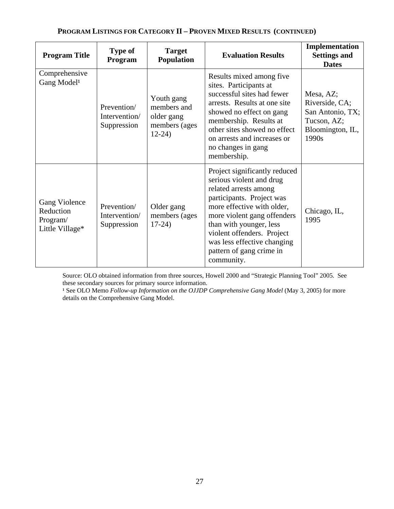| <b>Program Title</b>                                      | <b>Type of</b><br>Program                   | <b>Target</b><br><b>Population</b>                                  | <b>Evaluation Results</b>                                                                                                                                                                                                                                                                                      | Implementation<br><b>Settings and</b><br><b>Dates</b>                                       |
|-----------------------------------------------------------|---------------------------------------------|---------------------------------------------------------------------|----------------------------------------------------------------------------------------------------------------------------------------------------------------------------------------------------------------------------------------------------------------------------------------------------------------|---------------------------------------------------------------------------------------------|
| Comprehensive<br>Gang Model <sup>1</sup>                  | Prevention/<br>Intervention/<br>Suppression | Youth gang<br>members and<br>older gang<br>members (ages<br>$12-24$ | Results mixed among five<br>sites. Participants at<br>successful sites had fewer<br>arrests. Results at one site<br>showed no effect on gang<br>membership. Results at<br>other sites showed no effect<br>on arrests and increases or<br>no changes in gang<br>membership.                                     | Mesa, AZ;<br>Riverside, CA;<br>San Antonio, TX;<br>Tucson, AZ;<br>Bloomington, IL,<br>1990s |
| Gang Violence<br>Reduction<br>Program/<br>Little Village* | Prevention/<br>Intervention/<br>Suppression | Older gang<br>members (ages<br>$17-24)$                             | Project significantly reduced<br>serious violent and drug<br>related arrests among<br>participants. Project was<br>more effective with older,<br>more violent gang offenders<br>than with younger, less<br>violent offenders. Project<br>was less effective changing<br>pattern of gang crime in<br>community. | Chicago, IL,<br>1995                                                                        |

# **PROGRAM LISTINGS FOR CATEGORY II – PROVEN MIXED RESULTS (CONTINUED)**

Source: OLO obtained information from three sources, Howell 2000 and "Strategic Planning Tool" 2005. See these secondary sources for primary source information.

<sup>1</sup> See OLO Memo *Follow-up Information on the OJJDP Comprehensive Gang Model* (May 3, 2005) for more details on the Comprehensive Gang Model.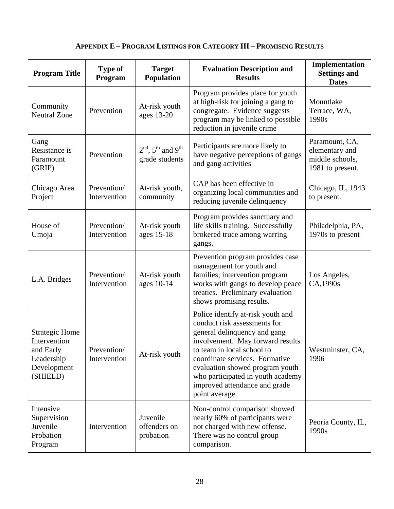# **APPENDIX E – PROGRAM LISTINGS FOR CATEGORY III – PROMISING RESULTS**

| <b>Program Title</b>                                                                        | <b>Type of</b><br>Program   | <b>Target</b><br>Population               | <b>Evaluation Description and</b><br><b>Results</b>                                                                                                                                                                                                                                                                              | Implementation<br><b>Settings and</b><br><b>Dates</b>                   |
|---------------------------------------------------------------------------------------------|-----------------------------|-------------------------------------------|----------------------------------------------------------------------------------------------------------------------------------------------------------------------------------------------------------------------------------------------------------------------------------------------------------------------------------|-------------------------------------------------------------------------|
| Community<br><b>Neutral Zone</b>                                                            | Prevention                  | At-risk youth<br>ages 13-20               | Program provides place for youth<br>at high-risk for joining a gang to<br>congregate. Evidence suggests<br>program may be linked to possible<br>reduction in juvenile crime                                                                                                                                                      | Mountlake<br>Terrace, WA,<br>1990s                                      |
| Gang<br>Resistance is<br>Paramount<br>(GRIP)                                                | Prevention                  | $2nd$ , $5th$ and $9th$<br>grade students | Participants are more likely to<br>have negative perceptions of gangs<br>and gang activities                                                                                                                                                                                                                                     | Paramount, CA,<br>elementary and<br>middle schools,<br>1981 to present. |
| Chicago Area<br>Project                                                                     | Prevention/<br>Intervention | At-risk youth,<br>community               | CAP has been effective in<br>organizing local communities and<br>reducing juvenile delinquency                                                                                                                                                                                                                                   | Chicago, IL, 1943<br>to present.                                        |
| House of<br>Umoja                                                                           | Prevention/<br>Intervention | At-risk youth<br>ages 15-18               | Program provides sanctuary and<br>life skills training. Successfully<br>brokered truce among warring<br>gangs.                                                                                                                                                                                                                   | Philadelphia, PA,<br>1970s to present                                   |
| L.A. Bridges                                                                                | Prevention/<br>Intervention | At-risk youth<br>ages 10-14               | Prevention program provides case<br>management for youth and<br>families; intervention program<br>works with gangs to develop peace<br>treaties. Preliminary evaluation<br>shows promising results.                                                                                                                              | Los Angeles,<br>CA,1990s                                                |
| <b>Strategic Home</b><br>Intervention<br>and Early<br>Leadership<br>Development<br>(SHIELD) | Prevention/<br>Intervention | At-risk youth                             | Police identify at-risk youth and<br>conduct risk assessments for<br>general delinquency and gang<br>involvement. May forward results<br>to team in local school to<br>coordinate services. Formative<br>evaluation showed program youth<br>who participated in youth academy<br>improved attendance and grade<br>point average. | Westminster, CA,<br>1996                                                |
| Intensive<br>Supervision<br>Juvenile<br>Probation<br>Program                                | Intervention                | Juvenile<br>offenders on<br>probation     | Non-control comparison showed<br>nearly 60% of participants were<br>not charged with new offense.<br>There was no control group<br>comparison.                                                                                                                                                                                   | Peoria County, IL,<br>1990s                                             |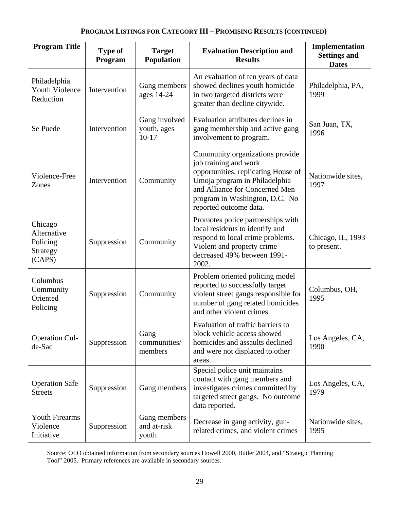### **PROGRAM LISTINGS FOR CATEGORY III – PROMISING RESULTS (CONTINUED)**

| <b>Program Title</b>                                     | Type of<br>Program | <b>Target</b><br><b>Population</b>      | <b>Evaluation Description and</b><br><b>Results</b>                                                                                                                                                                            | Implementation<br><b>Settings and</b><br><b>Dates</b> |
|----------------------------------------------------------|--------------------|-----------------------------------------|--------------------------------------------------------------------------------------------------------------------------------------------------------------------------------------------------------------------------------|-------------------------------------------------------|
| Philadelphia<br><b>Youth Violence</b><br>Reduction       | Intervention       | Gang members<br>ages 14-24              | An evaluation of ten years of data<br>showed declines youth homicide<br>in two targeted districts were<br>greater than decline citywide.                                                                                       | Philadelphia, PA,<br>1999                             |
| Se Puede                                                 | Intervention       | Gang involved<br>youth, ages<br>$10-17$ | Evaluation attributes declines in<br>gang membership and active gang<br>involvement to program.                                                                                                                                | San Juan, TX,<br>1996                                 |
| Violence-Free<br>Zones                                   | Intervention       | Community                               | Community organizations provide<br>job training and work<br>opportunities, replicating House of<br>Umoja program in Philadelphia<br>and Alliance for Concerned Men<br>program in Washington, D.C. No<br>reported outcome data. | Nationwide sites,<br>1997                             |
| Chicago<br>Alternative<br>Policing<br>Strategy<br>(CAPS) | Suppression        | Community                               | Promotes police partnerships with<br>local residents to identify and<br>respond to local crime problems.<br>Violent and property crime<br>decreased 49% between 1991-<br>2002.                                                 | Chicago, IL, 1993<br>to present.                      |
| Columbus<br>Community<br>Oriented<br>Policing            | Suppression        | Community                               | Problem oriented policing model<br>reported to successfully target<br>violent street gangs responsible for<br>number of gang related homicides<br>and other violent crimes.                                                    | Columbus, OH,<br>1995                                 |
| <b>Operation Cul-</b><br>de-Sac                          | Suppression        | Gang<br>communities/<br>members         | Evaluation of traffic barriers to<br>block vehicle access showed<br>homicides and assaults declined<br>and were not displaced to other<br>areas.                                                                               | Los Angeles, CA,<br>1990                              |
| <b>Operation Safe</b><br><b>Streets</b>                  | Suppression        | Gang members                            | Special police unit maintains<br>contact with gang members and<br>investigates crimes committed by<br>targeted street gangs. No outcome<br>data reported.                                                                      | Los Angeles, CA,<br>1979                              |
| <b>Youth Firearms</b><br>Violence<br>Initiative          | Suppression        | Gang members<br>and at-risk<br>youth    | Decrease in gang activity, gun-<br>related crimes, and violent crimes                                                                                                                                                          | Nationwide sites,<br>1995                             |

Source: OLO obtained information from secondary sources Howell 2000, Butler 2004, and "Strategic Planning Tool" 2005. Primary references are available in secondary sources.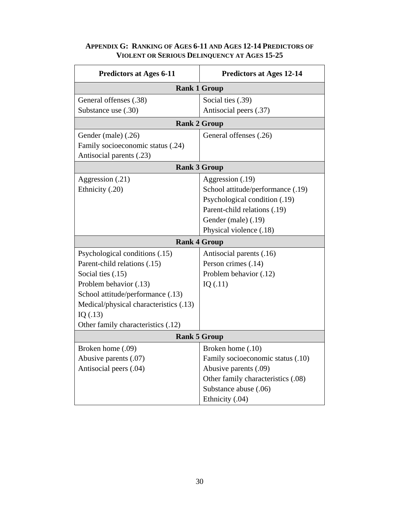| <b>Predictors at Ages 6-11</b>         | <b>Predictors at Ages 12-14</b>    |
|----------------------------------------|------------------------------------|
|                                        | <b>Rank 1 Group</b>                |
| General offenses (.38)                 | Social ties (.39)                  |
| Substance use (.30)                    | Antisocial peers (.37)             |
|                                        | <b>Rank 2 Group</b>                |
| Gender (male) (.26)                    | General offenses (.26)             |
| Family socioeconomic status (.24)      |                                    |
| Antisocial parents (.23)               |                                    |
|                                        | <b>Rank 3 Group</b>                |
| Aggression (.21)                       | Aggression (.19)                   |
| Ethnicity (.20)                        | School attitude/performance (.19)  |
|                                        | Psychological condition (.19)      |
|                                        | Parent-child relations (.19)       |
|                                        | Gender (male) (.19)                |
|                                        | Physical violence (.18)            |
|                                        | <b>Rank 4 Group</b>                |
| Psychological conditions (.15)         | Antisocial parents (.16)           |
| Parent-child relations (.15)           | Person crimes (.14)                |
| Social ties (.15)                      | Problem behavior (.12)             |
| Problem behavior (.13)                 | IQ $(.11)$                         |
| School attitude/performance (.13)      |                                    |
| Medical/physical characteristics (.13) |                                    |
| IQ(.13)                                |                                    |
| Other family characteristics (.12)     |                                    |
|                                        | <b>Rank 5 Group</b>                |
| Broken home (.09)                      | Broken home (.10)                  |
| Abusive parents (.07)                  | Family socioeconomic status (.10)  |
| Antisocial peers (.04)                 | Abusive parents (.09)              |
|                                        | Other family characteristics (.08) |
|                                        | Substance abuse (.06)              |
|                                        | Ethnicity (.04)                    |

# **APPENDIX G: RANKING OF AGES 6-11 AND AGES 12-14 PREDICTORS OF VIOLENT OR SERIOUS DELINQUENCY AT AGES 15-25**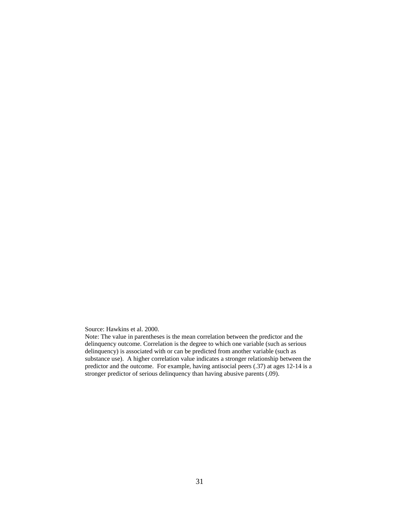Source: Hawkins et al. 2000.

Note: The value in parentheses is the mean correlation between the predictor and the delinquency outcome. Correlation is the degree to which one variable (such as serious delinquency) is associated with or can be predicted from another variable (such as substance use). A higher correlation value indicates a stronger relationship between the predictor and the outcome. For example, having antisocial peers (.37) at ages 12-14 is a stronger predictor of serious delinquency than having abusive parents (.09).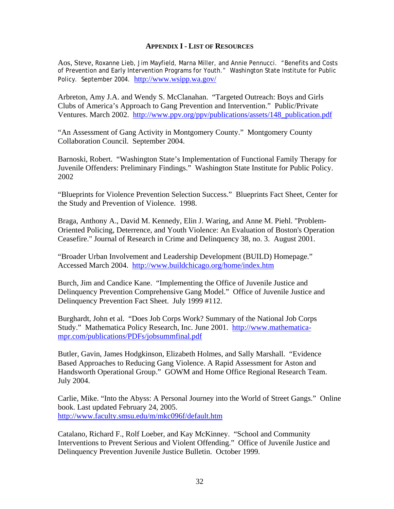#### **APPENDIX I - LIST OF RESOURCES**

Aos, Steve, Roxanne Lieb, Jim Mayfield, Marna Miller, and Annie Pennucci. "Benefits and Costs of Prevention and Early Intervention Programs for Youth." Washington State Institute for Public Policy. September 2004. http://www.wsipp.wa.gov/

Arbreton, Amy J.A. and Wendy S. McClanahan. "Targeted Outreach: Boys and Girls Clubs of America's Approach to Gang Prevention and Intervention." Public/Private Ventures. March 2002. http://www.ppv.org/ppv/publications/assets/148\_publication.pdf

"An Assessment of Gang Activity in Montgomery County." Montgomery County Collaboration Council. September 2004.

Barnoski, Robert. "Washington State's Implementation of Functional Family Therapy for Juvenile Offenders: Preliminary Findings." Washington State Institute for Public Policy. 2002

"Blueprints for Violence Prevention Selection Success." Blueprints Fact Sheet, Center for the Study and Prevention of Violence. 1998.

Braga, Anthony A., David M. Kennedy, Elin J. Waring, and Anne M. Piehl. "Problem-Oriented Policing, Deterrence, and Youth Violence: An Evaluation of Boston's Operation Ceasefire." Journal of Research in Crime and Delinquency 38, no. 3. August 2001.

"Broader Urban Involvement and Leadership Development (BUILD) Homepage." Accessed March 2004. http://www.buildchicago.org/home/index.htm

Burch, Jim and Candice Kane. "Implementing the Office of Juvenile Justice and Delinquency Prevention Comprehensive Gang Model." Office of Juvenile Justice and Delinquency Prevention Fact Sheet. July 1999 #112.

Burghardt, John et al. "Does Job Corps Work? Summary of the National Job Corps Study." Mathematica Policy Research, Inc. June 2001. http://www.mathematicampr.com/publications/PDFs/jobsummfinal.pdf

Butler, Gavin, James Hodgkinson, Elizabeth Holmes, and Sally Marshall. "Evidence Based Approaches to Reducing Gang Violence. A Rapid Assessment for Aston and Handsworth Operational Group." GOWM and Home Office Regional Research Team. July 2004.

Carlie, Mike. "Into the Abyss: A Personal Journey into the World of Street Gangs." Online book. Last updated February 24, 2005. http://www.faculty.smsu.edu/m/mkc096f/default.htm

Catalano, Richard F., Rolf Loeber, and Kay McKinney. "School and Community Interventions to Prevent Serious and Violent Offending." Office of Juvenile Justice and Delinquency Prevention Juvenile Justice Bulletin. October 1999.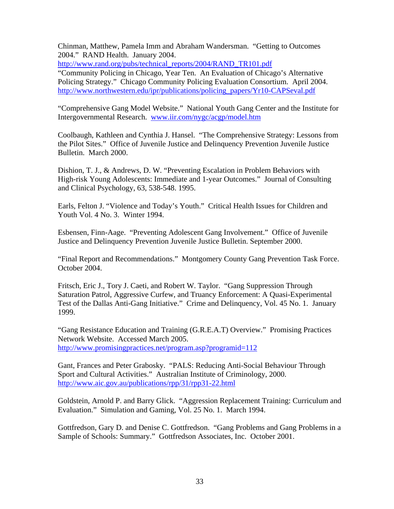Chinman, Matthew, Pamela Imm and Abraham Wandersman. "Getting to Outcomes 2004." RAND Health. January 2004.

http://www.rand.org/pubs/technical\_reports/2004/RAND\_TR101.pdf

"Community Policing in Chicago, Year Ten. An Evaluation of Chicago's Alternative Policing Strategy." Chicago Community Policing Evaluation Consortium. April 2004. http://www.northwestern.edu/ipr/publications/policing\_papers/Yr10-CAPSeval.pdf

"Comprehensive Gang Model Website." National Youth Gang Center and the Institute for Intergovernmental Research. www.iir.com/nygc/acgp/model.htm

Coolbaugh, Kathleen and Cynthia J. Hansel. "The Comprehensive Strategy: Lessons from the Pilot Sites." Office of Juvenile Justice and Delinquency Prevention Juvenile Justice Bulletin. March 2000.

Dishion, T. J., & Andrews, D. W. "Preventing Escalation in Problem Behaviors with High-risk Young Adolescents: Immediate and 1-year Outcomes." Journal of Consulting and Clinical Psychology, 63, 538-548. 1995.

Earls, Felton J. "Violence and Today's Youth." Critical Health Issues for Children and Youth Vol. 4 No. 3. Winter 1994.

Esbensen, Finn-Aage. "Preventing Adolescent Gang Involvement." Office of Juvenile Justice and Delinquency Prevention Juvenile Justice Bulletin. September 2000.

"Final Report and Recommendations." Montgomery County Gang Prevention Task Force. October 2004.

Fritsch, Eric J., Tory J. Caeti, and Robert W. Taylor. "Gang Suppression Through Saturation Patrol, Aggressive Curfew, and Truancy Enforcement: A Quasi-Experimental Test of the Dallas Anti-Gang Initiative." Crime and Delinquency, Vol. 45 No. 1. January 1999.

"Gang Resistance Education and Training (G.R.E.A.T) Overview." Promising Practices Network Website. Accessed March 2005. http://www.promisingpractices.net/program.asp?programid=112

Gant, Frances and Peter Grabosky. "PALS: Reducing Anti-Social Behaviour Through Sport and Cultural Activities." Australian Institute of Criminology, 2000. http://www.aic.gov.au/publications/rpp/31/rpp31-22.html

Goldstein, Arnold P. and Barry Glick. "Aggression Replacement Training: Curriculum and Evaluation." Simulation and Gaming, Vol. 25 No. 1. March 1994.

Gottfredson, Gary D. and Denise C. Gottfredson. "Gang Problems and Gang Problems in a Sample of Schools: Summary." Gottfredson Associates, Inc. October 2001.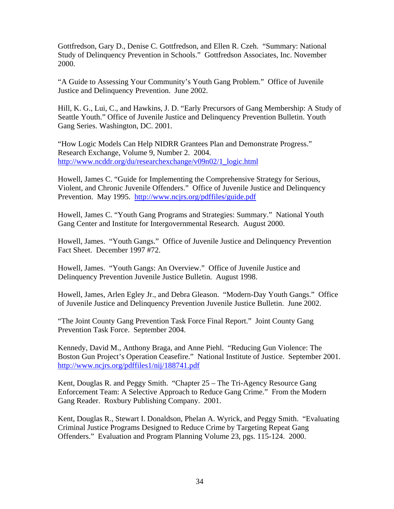Gottfredson, Gary D., Denise C. Gottfredson, and Ellen R. Czeh. "Summary: National Study of Delinquency Prevention in Schools." Gottfredson Associates, Inc. November 2000.

"A Guide to Assessing Your Community's Youth Gang Problem." Office of Juvenile Justice and Delinquency Prevention. June 2002.

Hill, K. G., Lui, C., and Hawkins, J. D. "Early Precursors of Gang Membership: A Study of Seattle Youth." Office of Juvenile Justice and Delinquency Prevention Bulletin. Youth Gang Series. Washington, DC. 2001.

"How Logic Models Can Help NIDRR Grantees Plan and Demonstrate Progress." Research Exchange, Volume 9, Number 2. 2004. http://www.ncddr.org/du/researchexchange/v09n02/1\_logic.html

Howell, James C. "Guide for Implementing the Comprehensive Strategy for Serious, Violent, and Chronic Juvenile Offenders." Office of Juvenile Justice and Delinquency Prevention. May 1995. http://www.ncjrs.org/pdffiles/guide.pdf

Howell, James C. "Youth Gang Programs and Strategies: Summary." National Youth Gang Center and Institute for Intergovernmental Research. August 2000.

Howell, James. "Youth Gangs." Office of Juvenile Justice and Delinquency Prevention Fact Sheet. December 1997 #72.

Howell, James. "Youth Gangs: An Overview." Office of Juvenile Justice and Delinquency Prevention Juvenile Justice Bulletin. August 1998.

Howell, James, Arlen Egley Jr., and Debra Gleason. "Modern-Day Youth Gangs." Office of Juvenile Justice and Delinquency Prevention Juvenile Justice Bulletin. June 2002.

"The Joint County Gang Prevention Task Force Final Report." Joint County Gang Prevention Task Force. September 2004.

Kennedy, David M., Anthony Braga, and Anne Piehl. "Reducing Gun Violence: The Boston Gun Project's Operation Ceasefire." National Institute of Justice. September 2001. http://www.ncjrs.org/pdffiles1/nij/188741.pdf

Kent, Douglas R. and Peggy Smith. "Chapter 25 – The Tri-Agency Resource Gang Enforcement Team: A Selective Approach to Reduce Gang Crime." From the Modern Gang Reader. Roxbury Publishing Company. 2001.

Kent, Douglas R., Stewart I. Donaldson, Phelan A. Wyrick, and Peggy Smith. "Evaluating Criminal Justice Programs Designed to Reduce Crime by Targeting Repeat Gang Offenders." Evaluation and Program Planning Volume 23, pgs. 115-124. 2000.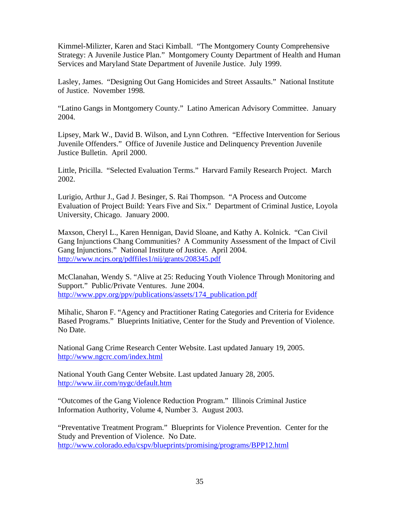Kimmel-Milizter, Karen and Staci Kimball. "The Montgomery County Comprehensive Strategy: A Juvenile Justice Plan." Montgomery County Department of Health and Human Services and Maryland State Department of Juvenile Justice. July 1999.

Lasley, James. "Designing Out Gang Homicides and Street Assaults." National Institute of Justice. November 1998.

"Latino Gangs in Montgomery County." Latino American Advisory Committee. January 2004.

Lipsey, Mark W., David B. Wilson, and Lynn Cothren. "Effective Intervention for Serious Juvenile Offenders." Office of Juvenile Justice and Delinquency Prevention Juvenile Justice Bulletin. April 2000.

Little, Pricilla. "Selected Evaluation Terms." Harvard Family Research Project. March 2002.

Lurigio, Arthur J., Gad J. Besinger, S. Rai Thompson. "A Process and Outcome Evaluation of Project Build: Years Five and Six." Department of Criminal Justice, Loyola University, Chicago. January 2000.

Maxson, Cheryl L., Karen Hennigan, David Sloane, and Kathy A. Kolnick. "Can Civil Gang Injunctions Chang Communities? A Community Assessment of the Impact of Civil Gang Injunctions." National Institute of Justice. April 2004. http://www.ncjrs.org/pdffiles1/nij/grants/208345.pdf

McClanahan, Wendy S. "Alive at 25: Reducing Youth Violence Through Monitoring and Support." Public/Private Ventures. June 2004. http://www.ppv.org/ppv/publications/assets/174\_publication.pdf

Mihalic, Sharon F. "Agency and Practitioner Rating Categories and Criteria for Evidence Based Programs." Blueprints Initiative, Center for the Study and Prevention of Violence. No Date.

National Gang Crime Research Center Website. Last updated January 19, 2005. http://www.ngcrc.com/index.html

National Youth Gang Center Website. Last updated January 28, 2005. http://www.iir.com/nygc/default.htm

"Outcomes of the Gang Violence Reduction Program." Illinois Criminal Justice Information Authority, Volume 4, Number 3. August 2003.

"Preventative Treatment Program." Blueprints for Violence Prevention. Center for the Study and Prevention of Violence. No Date. http://www.colorado.edu/cspv/blueprints/promising/programs/BPP12.html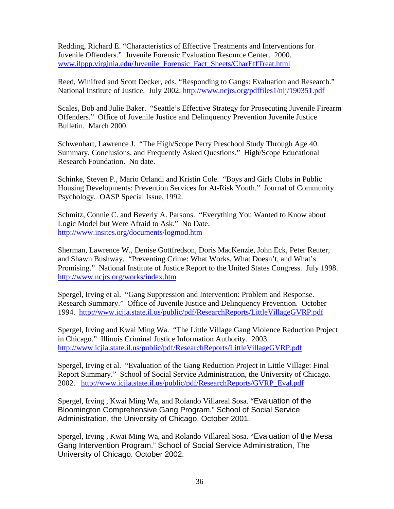Redding, Richard E. "Characteristics of Effective Treatments and Interventions for Juvenile Offenders." Juvenile Forensic Evaluation Resource Center. 2000. www.ilppp.virginia.edu/Juvenile\_Forensic\_Fact\_Sheets/CharEffTreat.html

Reed, Winifred and Scott Decker, eds. "Responding to Gangs: Evaluation and Research." National Institute of Justice. July 2002. http://www.ncjrs.org/pdffiles1/nij/190351.pdf

Scales, Bob and Julie Baker. "Seattle's Effective Strategy for Prosecuting Juvenile Firearm Offenders." Office of Juvenile Justice and Delinquency Prevention Juvenile Justice Bulletin. March 2000.

Schwenhart, Lawrence J. "The High/Scope Perry Preschool Study Through Age 40. Summary, Conclusions, and Frequently Asked Questions." High/Scope Educational Research Foundation. No date.

Schinke, Steven P., Mario Orlandi and Kristin Cole. "Boys and Girls Clubs in Public Housing Developments: Prevention Services for At-Risk Youth." Journal of Community Psychology. OASP Special Issue, 1992.

Schmitz, Connie C. and Beverly A. Parsons. "Everything You Wanted to Know about Logic Model but Were Afraid to Ask." No Date. http://www.insites.org/documents/logmod.htm

Sherman, Lawrence W., Denise Gottfredson, Doris MacKenzie, John Eck, Peter Reuter, and Shawn Bushway. "Preventing Crime: What Works, What Doesn't, and What's Promising." National Institute of Justice Report to the United States Congress. July 1998. http://www.ncjrs.org/works/index.htm

Spergel, Irving et al. "Gang Suppression and Intervention: Problem and Response. Research Summary." Office of Juvenile Justice and Delinquency Prevention. October 1994. http://www.icjia.state.il.us/public/pdf/ResearchReports/LittleVillageGVRP.pdf

Spergel, Irving and Kwai Ming Wa. "The Little Village Gang Violence Reduction Project in Chicago." Illinois Criminal Justice Information Authority. 2003. http://www.icjia.state.il.us/public/pdf/ResearchReports/LittleVillageGVRP.pdf

Spergel, Irving et al. "Evaluation of the Gang Reduction Project in Little Village: Final Report Summary." School of Social Service Administration, the University of Chicago. 2002. http://www.icjia.state.il.us/public/pdf/ResearchReports/GVRP\_Eval.pdf

Spergel, Irving , Kwai Ming Wa, and Rolando Villareal Sosa. "Evaluation of the Bloomington Comprehensive Gang Program." School of Social Service Administration, the University of Chicago. October 2001.

Spergel, Irving , Kwai Ming Wa, and Rolando Villareal Sosa. "Evaluation of the Mesa Gang Intervention Program." School of Social Service Administration, The University of Chicago. October 2002.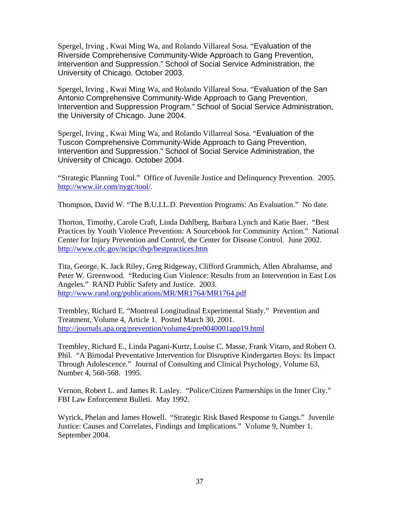Spergel, Irving , Kwai Ming Wa, and Rolando Villareal Sosa. "Evaluation of the Riverside Comprehensive Community-Wide Approach to Gang Prevention, Intervention and Suppression." School of Social Service Administration, the University of Chicago. October 2003.

Spergel, Irving , Kwai Ming Wa, and Rolando Villareal Sosa. "Evaluation of the San Antonio Comprehensive Community-Wide Approach to Gang Prevention, Intervention and Suppression Program." School of Social Service Administration, the University of Chicago. June 2004.

Spergel, Irving , Kwai Ming Wa, and Rolando Villarreal Sosa. "Evaluation of the Tuscon Comprehensive Community-Wide Approach to Gang Prevention, Intervention and Suppression." School of Social Service Administration, the University of Chicago. October 2004.

"Strategic Planning Tool." Office of Juvenile Justice and Delinquency Prevention. 2005. http://www.iir.com/nygc/tool/.

Thompson, David W. "The B.U.I.L.D. Prevention Programs: An Evaluation." No date.

Thorton, Timothy, Carole Craft, Linda Dahlberg, Barbara Lynch and Katie Baer. "Best Practices by Youth Violence Prevention: A Sourcebook for Community Action." National Center for Injury Prevention and Control, the Center for Disease Control. June 2002. http://www.cdc.gov/ncipc/dvp/bestpractices.htm

Tita, George, K. Jack Riley, Greg Ridgeway, Clifford Grammich, Allen Abrahamse, and Peter W. Greenwood. "Reducing Gun Violence: Results from an Intervention in East Los Angeles." RAND Public Safety and Justice. 2003. http://www.rand.org/publications/MR/MR1764/MR1764.pdf

Trembley, Richard E. "Montreal Longitudinal Experimental Study." Prevention and Treatment, Volume 4, Article 1. Posted March 30, 2001. http://journals.apa.org/prevention/volume4/pre0040001app19.html

Trembley, Richard E., Linda Pagani-Kurtz, Louise C. Masse, Frank Vitaro, and Robert O. Phil. "A Bimodal Preventative Intervention for Disruptive Kindergarten Boys: Its Impact Through Adolescence." Journal of Consulting and Clinical Psychology, Volume 63, Number 4, 560-568. 1995.

Vernon, Robert L. and James R. Lasley. "Police/Citizen Partnerships in the Inner City." FBI Law Enforcement Bulleti. May 1992.

Wyrick, Phelan and James Howell. "Strategic Risk Based Response to Gangs." Juvenile Justice: Causes and Correlates, Findings and Implications." Volume 9, Number 1. September 2004.